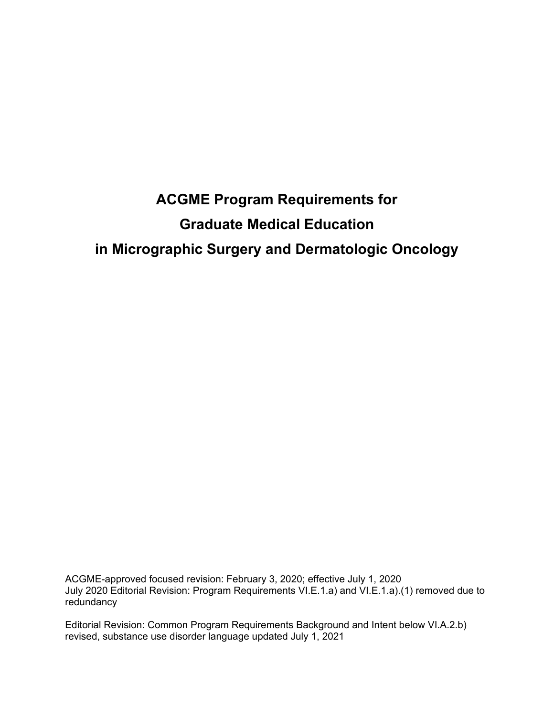# **ACGME Program Requirements for Graduate Medical Education in Micrographic Surgery and Dermatologic Oncology**

ACGME-approved focused revision: February 3, 2020; effective July 1, 2020 July 2020 Editorial Revision: Program Requirements VI.E.1.a) and VI.E.1.a).(1) removed due to redundancy

Editorial Revision: Common Program Requirements Background and Intent below VI.A.2.b) revised, substance use disorder language updated July 1, 2021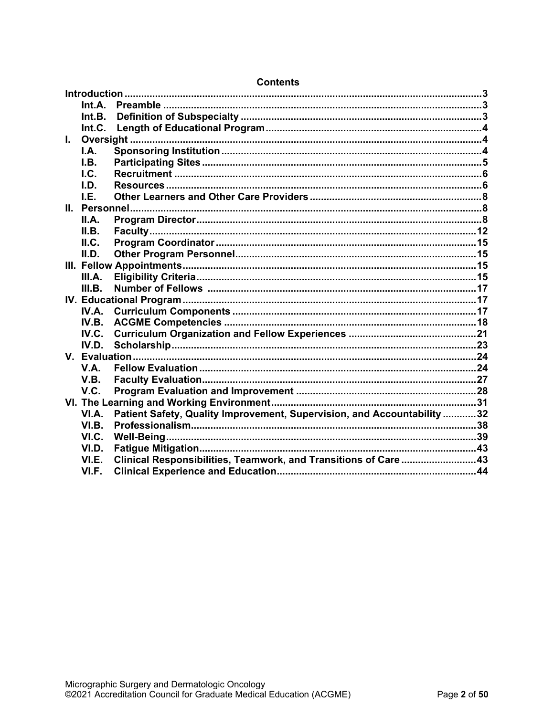|    | Int.A.      |                                                                         |  |
|----|-------------|-------------------------------------------------------------------------|--|
|    | Int.B.      |                                                                         |  |
|    | Int.C.      |                                                                         |  |
| L. |             |                                                                         |  |
|    | I.A.        |                                                                         |  |
|    | I.B.        |                                                                         |  |
|    | I.C.        |                                                                         |  |
|    | I.D.        |                                                                         |  |
|    | I.E.        |                                                                         |  |
|    |             |                                                                         |  |
|    | II.A.       |                                                                         |  |
|    | II.B.       |                                                                         |  |
|    | II.C.       |                                                                         |  |
|    | II.D.       |                                                                         |  |
|    |             |                                                                         |  |
|    | III.A.      |                                                                         |  |
|    | III.B.      | Number of Fellows …………………………………………………………………………………………17                  |  |
|    |             |                                                                         |  |
|    | IV.A.       |                                                                         |  |
|    | IV.B.       |                                                                         |  |
|    | IV.C.       |                                                                         |  |
|    | IV.D.       |                                                                         |  |
|    |             |                                                                         |  |
|    | <b>V.A.</b> |                                                                         |  |
|    | V.B.        |                                                                         |  |
|    | V.C.        |                                                                         |  |
|    |             |                                                                         |  |
|    | VI.A.       | Patient Safety, Quality Improvement, Supervision, and Accountability 32 |  |
|    | VI.B.       |                                                                         |  |
|    | VI.C.       |                                                                         |  |
|    | VI.D.       |                                                                         |  |
|    | VI.E.       | Clinical Responsibilities, Teamwork, and Transitions of Care 43         |  |
|    | VI.F.       |                                                                         |  |

# **Contents**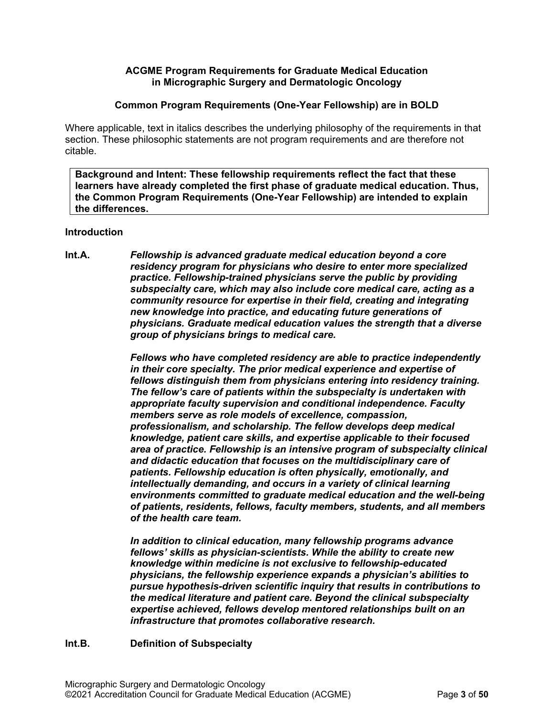# **ACGME Program Requirements for Graduate Medical Education in Micrographic Surgery and Dermatologic Oncology**

#### **Common Program Requirements (One-Year Fellowship) are in BOLD**

Where applicable, text in italics describes the underlying philosophy of the requirements in that section. These philosophic statements are not program requirements and are therefore not citable.

**Background and Intent: These fellowship requirements reflect the fact that these learners have already completed the first phase of graduate medical education. Thus, the Common Program Requirements (One-Year Fellowship) are intended to explain the differences.**

#### <span id="page-2-0"></span>**Introduction**

<span id="page-2-1"></span>**Int.A.** *Fellowship is advanced graduate medical education beyond a core residency program for physicians who desire to enter more specialized practice. Fellowship-trained physicians serve the public by providing subspecialty care, which may also include core medical care, acting as a community resource for expertise in their field, creating and integrating new knowledge into practice, and educating future generations of physicians. Graduate medical education values the strength that a diverse group of physicians brings to medical care.*

> *Fellows who have completed residency are able to practice independently in their core specialty. The prior medical experience and expertise of fellows distinguish them from physicians entering into residency training. The fellow's care of patients within the subspecialty is undertaken with appropriate faculty supervision and conditional independence. Faculty members serve as role models of excellence, compassion, professionalism, and scholarship. The fellow develops deep medical knowledge, patient care skills, and expertise applicable to their focused area of practice. Fellowship is an intensive program of subspecialty clinical and didactic education that focuses on the multidisciplinary care of patients. Fellowship education is often physically, emotionally, and intellectually demanding, and occurs in a variety of clinical learning environments committed to graduate medical education and the well-being of patients, residents, fellows, faculty members, students, and all members of the health care team.*

*In addition to clinical education, many fellowship programs advance fellows' skills as physician-scientists. While the ability to create new knowledge within medicine is not exclusive to fellowship-educated physicians, the fellowship experience expands a physician's abilities to pursue hypothesis-driven scientific inquiry that results in contributions to the medical literature and patient care. Beyond the clinical subspecialty expertise achieved, fellows develop mentored relationships built on an infrastructure that promotes collaborative research.*

# <span id="page-2-2"></span>**Int.B. Definition of Subspecialty**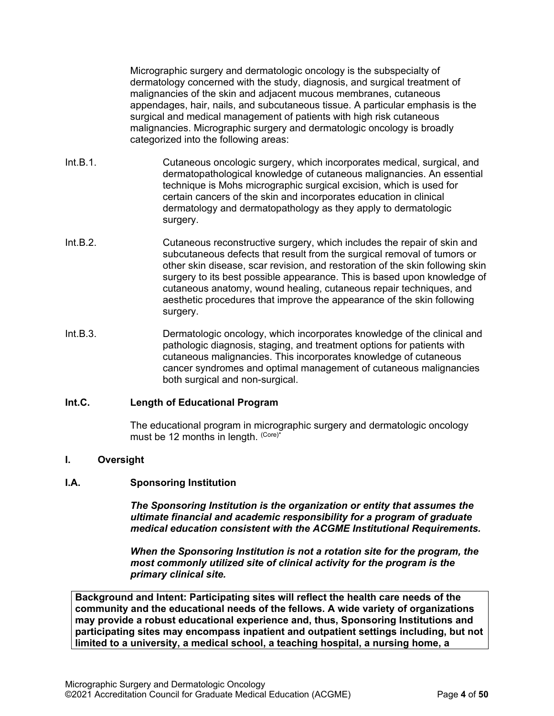Micrographic surgery and dermatologic oncology is the subspecialty of dermatology concerned with the study, diagnosis, and surgical treatment of malignancies of the skin and adjacent mucous membranes, cutaneous appendages, hair, nails, and subcutaneous tissue. A particular emphasis is the surgical and medical management of patients with high risk cutaneous malignancies. Micrographic surgery and dermatologic oncology is broadly categorized into the following areas:

- Int.B.1. Cutaneous oncologic surgery, which incorporates medical, surgical, and dermatopathological knowledge of cutaneous malignancies. An essential technique is Mohs micrographic surgical excision, which is used for certain cancers of the skin and incorporates education in clinical dermatology and dermatopathology as they apply to dermatologic surgery.
- Int.B.2. Cutaneous reconstructive surgery, which includes the repair of skin and subcutaneous defects that result from the surgical removal of tumors or other skin disease, scar revision, and restoration of the skin following skin surgery to its best possible appearance. This is based upon knowledge of cutaneous anatomy, wound healing, cutaneous repair techniques, and aesthetic procedures that improve the appearance of the skin following surgery.
- Int.B.3. Dermatologic oncology, which incorporates knowledge of the clinical and pathologic diagnosis, staging, and treatment options for patients with cutaneous malignancies. This incorporates knowledge of cutaneous cancer syndromes and optimal management of cutaneous malignancies both surgical and non-surgical.

#### <span id="page-3-0"></span>**Int.C. Length of Educational Program**

The educational program in micrographic surgery and dermatologic oncology must be 12 months in length. (Core)\*

#### <span id="page-3-1"></span>**I. Oversight**

#### <span id="page-3-2"></span>**I.A. Sponsoring Institution**

*The Sponsoring Institution is the organization or entity that assumes the ultimate financial and academic responsibility for a program of graduate medical education consistent with the ACGME Institutional Requirements.*

*When the Sponsoring Institution is not a rotation site for the program, the most commonly utilized site of clinical activity for the program is the primary clinical site.*

**Background and Intent: Participating sites will reflect the health care needs of the community and the educational needs of the fellows. A wide variety of organizations may provide a robust educational experience and, thus, Sponsoring Institutions and participating sites may encompass inpatient and outpatient settings including, but not limited to a university, a medical school, a teaching hospital, a nursing home, a**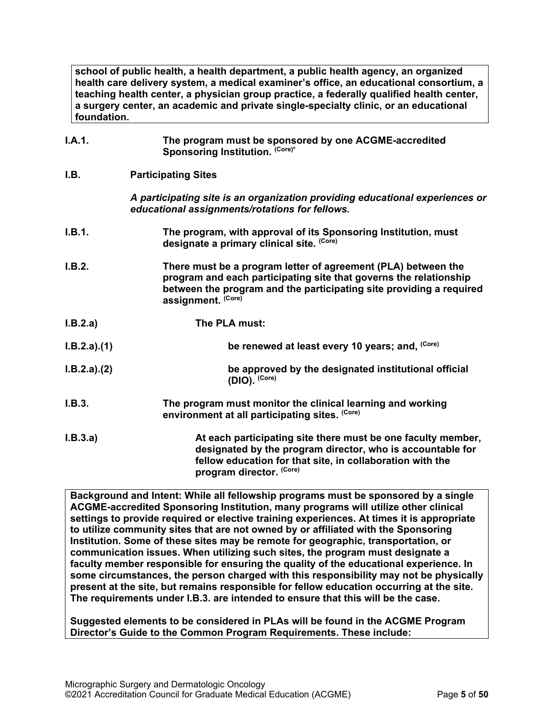**school of public health, a health department, a public health agency, an organized health care delivery system, a medical examiner's office, an educational consortium, a teaching health center, a physician group practice, a federally qualified health center, a surgery center, an academic and private single-specialty clinic, or an educational foundation.**

<span id="page-4-0"></span>

| I.A.1.      | The program must be sponsored by one ACGME-accredited<br>Sponsoring Institution. (Core)*                                                                                                                                        |
|-------------|---------------------------------------------------------------------------------------------------------------------------------------------------------------------------------------------------------------------------------|
| I.B.        | <b>Participating Sites</b>                                                                                                                                                                                                      |
|             | A participating site is an organization providing educational experiences or<br>educational assignments/rotations for fellows.                                                                                                  |
| I.B.1.      | The program, with approval of its Sponsoring Institution, must<br>designate a primary clinical site. (Core)                                                                                                                     |
| I.B.2.      | There must be a program letter of agreement (PLA) between the<br>program and each participating site that governs the relationship<br>between the program and the participating site providing a required<br>assignment. (Core) |
| I.B.2.a)    | The PLA must:                                                                                                                                                                                                                   |
| I.B.2.a)(1) | be renewed at least every 10 years; and, (Core)                                                                                                                                                                                 |
| I.B.2.a)(2) | be approved by the designated institutional official<br>$(DIO)$ . $(Core)$                                                                                                                                                      |
| I.B.3.      | The program must monitor the clinical learning and working<br>environment at all participating sites. (Core)                                                                                                                    |
| I.B.3.a)    | At each participating site there must be one faculty member,<br>designated by the program director, who is accountable for<br>fellow education for that site, in collaboration with the<br>program director. (Core)             |

**Background and Intent: While all fellowship programs must be sponsored by a single ACGME-accredited Sponsoring Institution, many programs will utilize other clinical settings to provide required or elective training experiences. At times it is appropriate to utilize community sites that are not owned by or affiliated with the Sponsoring Institution. Some of these sites may be remote for geographic, transportation, or communication issues. When utilizing such sites, the program must designate a faculty member responsible for ensuring the quality of the educational experience. In some circumstances, the person charged with this responsibility may not be physically present at the site, but remains responsible for fellow education occurring at the site. The requirements under I.B.3. are intended to ensure that this will be the case.**

**Suggested elements to be considered in PLAs will be found in the ACGME Program Director's Guide to the Common Program Requirements. These include:**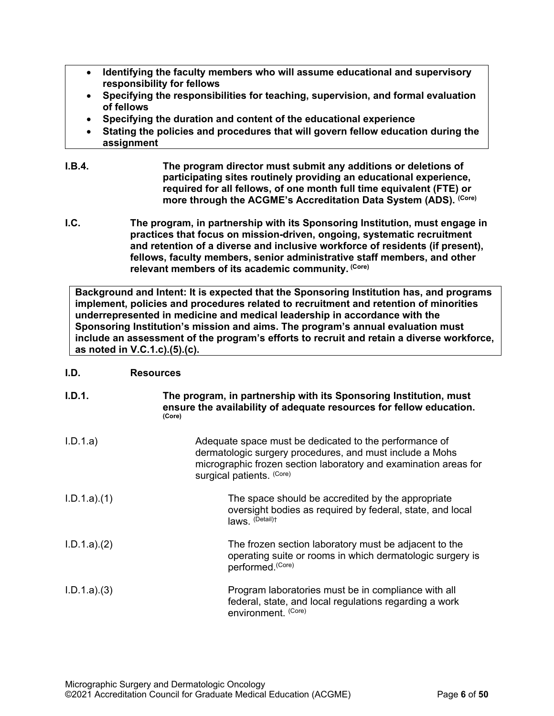- **Identifying the faculty members who will assume educational and supervisory responsibility for fellows**
- **Specifying the responsibilities for teaching, supervision, and formal evaluation of fellows**
- **Specifying the duration and content of the educational experience**
- **Stating the policies and procedures that will govern fellow education during the assignment**
- **I.B.4. The program director must submit any additions or deletions of participating sites routinely providing an educational experience, required for all fellows, of one month full time equivalent (FTE) or more through the ACGME's Accreditation Data System (ADS). (Core)**
- <span id="page-5-0"></span>**I.C. The program, in partnership with its Sponsoring Institution, must engage in practices that focus on mission-driven, ongoing, systematic recruitment and retention of a diverse and inclusive workforce of residents (if present), fellows, faculty members, senior administrative staff members, and other relevant members of its academic community. (Core)**

**Background and Intent: It is expected that the Sponsoring Institution has, and programs implement, policies and procedures related to recruitment and retention of minorities underrepresented in medicine and medical leadership in accordance with the Sponsoring Institution's mission and aims. The program's annual evaluation must include an assessment of the program's efforts to recruit and retain a diverse workforce, as noted in V.C.1.c).(5).(c).**

# <span id="page-5-1"></span>**I.D. Resources**

| I.D.1.      | The program, in partnership with its Sponsoring Institution, must<br>ensure the availability of adequate resources for fellow education.<br>(Core)                                                                  |
|-------------|---------------------------------------------------------------------------------------------------------------------------------------------------------------------------------------------------------------------|
| I.D.1.a)    | Adequate space must be dedicated to the performance of<br>dermatologic surgery procedures, and must include a Mohs<br>micrographic frozen section laboratory and examination areas for<br>surgical patients. (Core) |
| I.D.1.a)(1) | The space should be accredited by the appropriate<br>oversight bodies as required by federal, state, and local<br>laws. (Detail)t                                                                                   |
| I.D.1.a)(2) | The frozen section laboratory must be adjacent to the<br>operating suite or rooms in which dermatologic surgery is<br>performed. (Core)                                                                             |
| I.D.1.a)(3) | Program laboratories must be in compliance with all<br>federal, state, and local regulations regarding a work<br>environment. (Core)                                                                                |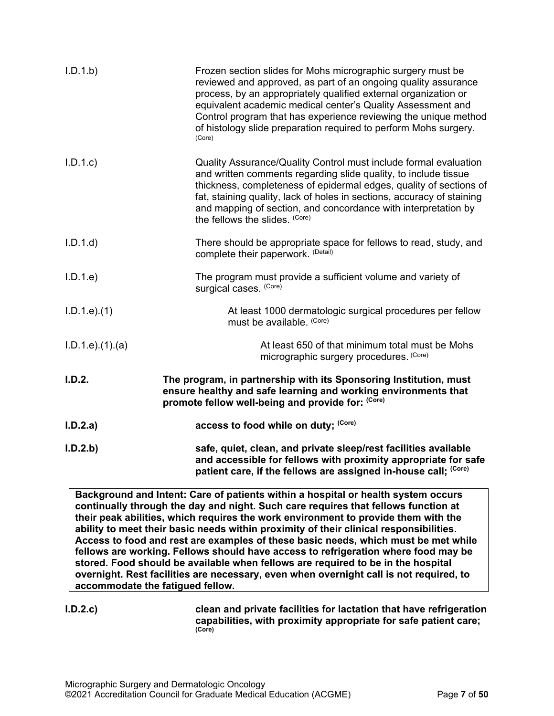| I.D.1.b)           | Frozen section slides for Mohs micrographic surgery must be<br>reviewed and approved, as part of an ongoing quality assurance<br>process, by an appropriately qualified external organization or<br>equivalent academic medical center's Quality Assessment and<br>Control program that has experience reviewing the unique method<br>of histology slide preparation required to perform Mohs surgery.<br>(Core) |
|--------------------|------------------------------------------------------------------------------------------------------------------------------------------------------------------------------------------------------------------------------------------------------------------------------------------------------------------------------------------------------------------------------------------------------------------|
| I.D.1.c            | Quality Assurance/Quality Control must include formal evaluation<br>and written comments regarding slide quality, to include tissue<br>thickness, completeness of epidermal edges, quality of sections of<br>fat, staining quality, lack of holes in sections, accuracy of staining<br>and mapping of section, and concordance with interpretation by<br>the fellows the slides. (Core)                          |
| I.D.1.d            | There should be appropriate space for fellows to read, study, and<br>complete their paperwork. (Detail)                                                                                                                                                                                                                                                                                                          |
| I.D.1.e            | The program must provide a sufficient volume and variety of<br>surgical cases. (Core)                                                                                                                                                                                                                                                                                                                            |
| $I.D.1.e$ $(1)$    | At least 1000 dermatologic surgical procedures per fellow<br>must be available. (Core)                                                                                                                                                                                                                                                                                                                           |
| $I.D.1.e$ $(1)(a)$ | At least 650 of that minimum total must be Mohs<br>micrographic surgery procedures. (Core)                                                                                                                                                                                                                                                                                                                       |
| I.D.2.             | The program, in partnership with its Sponsoring Institution, must<br>ensure healthy and safe learning and working environments that<br>promote fellow well-being and provide for: (Core)                                                                                                                                                                                                                         |
| I.D.2.a)           | access to food while on duty; (Core)                                                                                                                                                                                                                                                                                                                                                                             |
| I.D.2.b            | safe, quiet, clean, and private sleep/rest facilities available<br>and accessible for fellows with proximity appropriate for safe<br>patient care, if the fellows are assigned in-house call; (Core)                                                                                                                                                                                                             |

**Background and Intent: Care of patients within a hospital or health system occurs continually through the day and night. Such care requires that fellows function at their peak abilities, which requires the work environment to provide them with the ability to meet their basic needs within proximity of their clinical responsibilities. Access to food and rest are examples of these basic needs, which must be met while fellows are working. Fellows should have access to refrigeration where food may be stored. Food should be available when fellows are required to be in the hospital overnight. Rest facilities are necessary, even when overnight call is not required, to accommodate the fatigued fellow.**

**I.D.2.c) clean and private facilities for lactation that have refrigeration capabilities, with proximity appropriate for safe patient care; (Core)**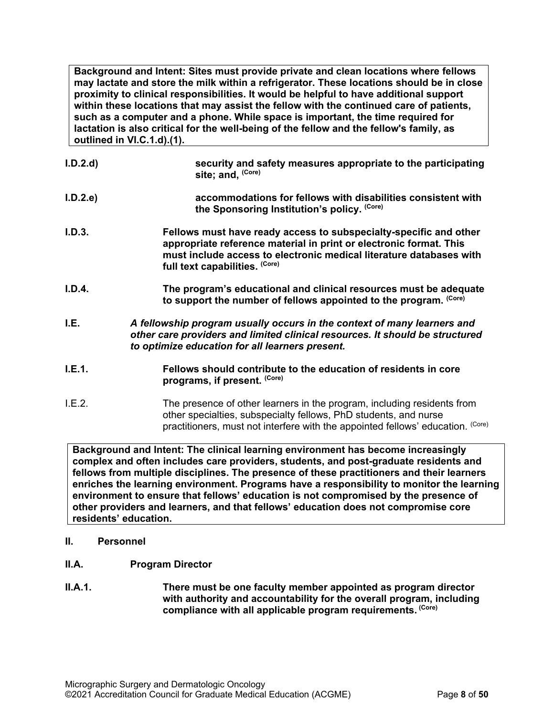**Background and Intent: Sites must provide private and clean locations where fellows may lactate and store the milk within a refrigerator. These locations should be in close proximity to clinical responsibilities. It would be helpful to have additional support within these locations that may assist the fellow with the continued care of patients, such as a computer and a phone. While space is important, the time required for lactation is also critical for the well-being of the fellow and the fellow's family, as outlined in VI.C.1.d).(1).**

| I.D.2.d | security and safety measures appropriate to the participating<br>site; and, (Core)                                                                                                                                                               |
|---------|--------------------------------------------------------------------------------------------------------------------------------------------------------------------------------------------------------------------------------------------------|
| I.D.2.e | accommodations for fellows with disabilities consistent with<br>the Sponsoring Institution's policy. (Core)                                                                                                                                      |
| I.D.3.  | Fellows must have ready access to subspecialty-specific and other<br>appropriate reference material in print or electronic format. This<br>must include access to electronic medical literature databases with<br>full text capabilities. (Core) |
| I.D.4.  | The program's educational and clinical resources must be adequate<br>to support the number of fellows appointed to the program. (Core)                                                                                                           |
| I.E.    | A fellowship program usually occurs in the context of many learners and<br>other care providers and limited clinical resources. It should be structured<br>to optimize education for all learners present.                                       |
| I.E.1.  | Fellows should contribute to the education of residents in core<br>programs, if present. (Core)                                                                                                                                                  |
| LE.2.   | The presence of other learners in the program, including residents from<br>other specialties, subspecialty fellows, PhD students, and nurse<br>practitioners, must not interfere with the appointed fellows' education. (Core)                   |

<span id="page-7-0"></span>**Background and Intent: The clinical learning environment has become increasingly complex and often includes care providers, students, and post-graduate residents and fellows from multiple disciplines. The presence of these practitioners and their learners enriches the learning environment. Programs have a responsibility to monitor the learning environment to ensure that fellows' education is not compromised by the presence of other providers and learners, and that fellows' education does not compromise core residents' education.**

- <span id="page-7-1"></span>**II. Personnel**
- <span id="page-7-2"></span>**II.A. Program Director**
- **II.A.1. There must be one faculty member appointed as program director with authority and accountability for the overall program, including compliance with all applicable program requirements. (Core)**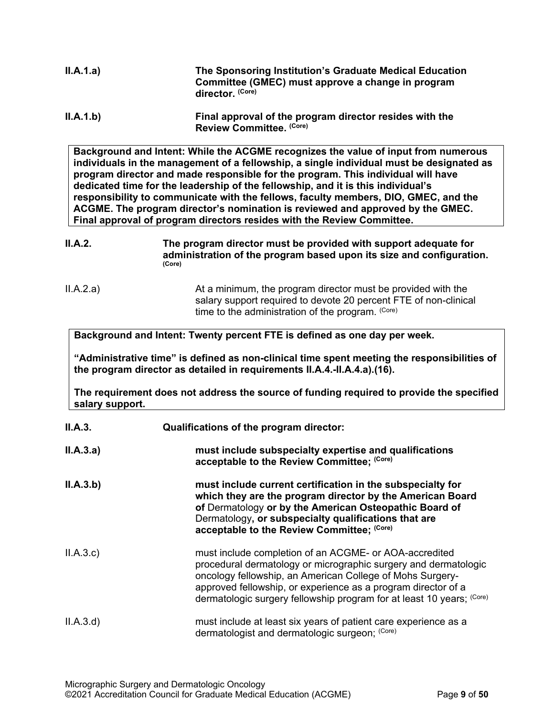| II.A.1.a) | The Sponsoring Institution's Graduate Medical Education<br>Committee (GMEC) must approve a change in program<br>director. (Core) |
|-----------|----------------------------------------------------------------------------------------------------------------------------------|
| II.A.1.b) | Final approval of the program director resides with the<br>Review Committee. (Core)                                              |

**Background and Intent: While the ACGME recognizes the value of input from numerous individuals in the management of a fellowship, a single individual must be designated as program director and made responsible for the program. This individual will have dedicated time for the leadership of the fellowship, and it is this individual's responsibility to communicate with the fellows, faculty members, DIO, GMEC, and the ACGME. The program director's nomination is reviewed and approved by the GMEC. Final approval of program directors resides with the Review Committee.**

- **II.A.2. The program director must be provided with support adequate for administration of the program based upon its size and configuration. (Core)**
- II.A.2.a) At a minimum, the program director must be provided with the salary support required to devote 20 percent FTE of non-clinical time to the administration of the program. (Core)

**Background and Intent: Twenty percent FTE is defined as one day per week.**

**"Administrative time" is defined as non-clinical time spent meeting the responsibilities of the program director as detailed in requirements II.A.4.-II.A.4.a).(16).** 

**The requirement does not address the source of funding required to provide the specified salary support.**

| II.A.3.   | Qualifications of the program director:                                                                                                                                                                                                                                                                                          |
|-----------|----------------------------------------------------------------------------------------------------------------------------------------------------------------------------------------------------------------------------------------------------------------------------------------------------------------------------------|
| II.A.3.a) | must include subspecialty expertise and qualifications<br>acceptable to the Review Committee; (Core)                                                                                                                                                                                                                             |
| II.A.3.b) | must include current certification in the subspecialty for<br>which they are the program director by the American Board<br>of Dermatology or by the American Osteopathic Board of<br>Dermatology, or subspecialty qualifications that are<br>acceptable to the Review Committee; (Core)                                          |
| II.A.3.c  | must include completion of an ACGME- or AOA-accredited<br>procedural dermatology or micrographic surgery and dermatologic<br>oncology fellowship, an American College of Mohs Surgery-<br>approved fellowship, or experience as a program director of a<br>dermatologic surgery fellowship program for at least 10 years; (Core) |
| II.A.3.d  | must include at least six years of patient care experience as a<br>dermatologist and dermatologic surgeon; (Core)                                                                                                                                                                                                                |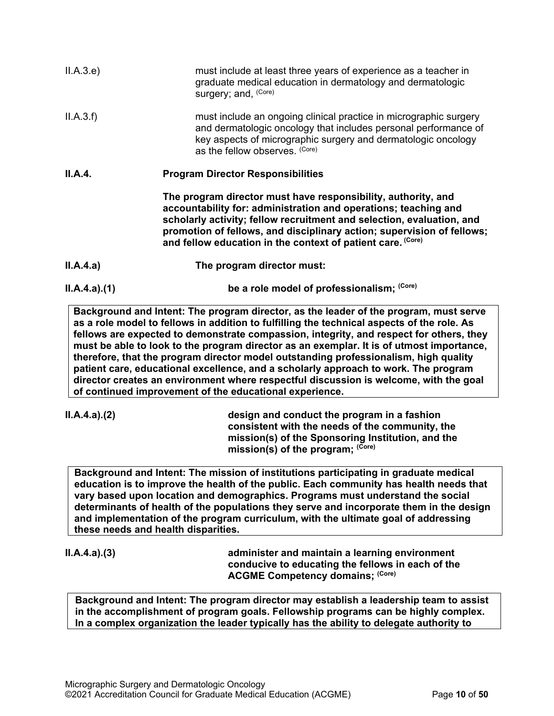| II.A.3.e    | must include at least three years of experience as a teacher in<br>graduate medical education in dermatology and dermatologic<br>surgery; and, (Core)                                                                                                                                                                                              |
|-------------|----------------------------------------------------------------------------------------------------------------------------------------------------------------------------------------------------------------------------------------------------------------------------------------------------------------------------------------------------|
| II.A.3.f    | must include an ongoing clinical practice in micrographic surgery<br>and dermatologic oncology that includes personal performance of<br>key aspects of micrographic surgery and dermatologic oncology<br>as the fellow observes. (Core)                                                                                                            |
| II.A.4.     | <b>Program Director Responsibilities</b>                                                                                                                                                                                                                                                                                                           |
|             | The program director must have responsibility, authority, and<br>accountability for: administration and operations; teaching and<br>scholarly activity; fellow recruitment and selection, evaluation, and<br>promotion of fellows, and disciplinary action; supervision of fellows;<br>and fellow education in the context of patient care. (Core) |
| II.A.4.a)   | The program director must:                                                                                                                                                                                                                                                                                                                         |
| ILA.4.a)(1) | be a role model of professionalism; (Core)                                                                                                                                                                                                                                                                                                         |

**Background and Intent: The program director, as the leader of the program, must serve as a role model to fellows in addition to fulfilling the technical aspects of the role. As fellows are expected to demonstrate compassion, integrity, and respect for others, they must be able to look to the program director as an exemplar. It is of utmost importance, therefore, that the program director model outstanding professionalism, high quality patient care, educational excellence, and a scholarly approach to work. The program director creates an environment where respectful discussion is welcome, with the goal of continued improvement of the educational experience.**

**II.A.4.a).(2) design and conduct the program in a fashion consistent with the needs of the community, the mission(s) of the Sponsoring Institution, and the**  mission(s) of the program; (Core)

**Background and Intent: The mission of institutions participating in graduate medical education is to improve the health of the public. Each community has health needs that vary based upon location and demographics. Programs must understand the social determinants of health of the populations they serve and incorporate them in the design and implementation of the program curriculum, with the ultimate goal of addressing these needs and health disparities.**

**II.A.4.a).(3) administer and maintain a learning environment conducive to educating the fellows in each of the ACGME Competency domains; (Core)**

**Background and Intent: The program director may establish a leadership team to assist in the accomplishment of program goals. Fellowship programs can be highly complex. In a complex organization the leader typically has the ability to delegate authority to**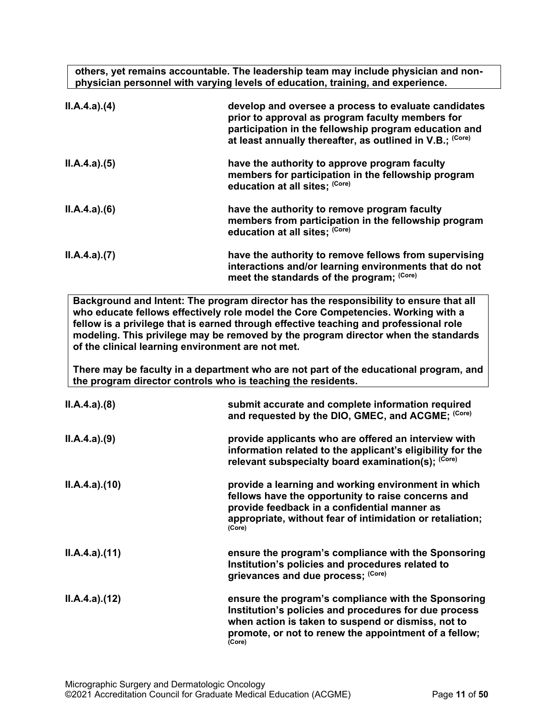**others, yet remains accountable. The leadership team may include physician and nonphysician personnel with varying levels of education, training, and experience.**

| ILA.4.a)(4) | develop and oversee a process to evaluate candidates<br>prior to approval as program faculty members for<br>participation in the fellowship program education and<br>at least annually thereafter, as outlined in V.B.; (Core) |
|-------------|--------------------------------------------------------------------------------------------------------------------------------------------------------------------------------------------------------------------------------|
| ILA.4.a)(5) | have the authority to approve program faculty<br>members for participation in the fellowship program<br>education at all sites; (Core)                                                                                         |
| ILA.4.a)(6) | have the authority to remove program faculty<br>members from participation in the fellowship program<br>education at all sites; (Core)                                                                                         |
| ILA.4.a)(7) | have the authority to remove fellows from supervising<br>interactions and/or learning environments that do not<br>meet the standards of the program; (Core)                                                                    |

**Background and Intent: The program director has the responsibility to ensure that all who educate fellows effectively role model the Core Competencies. Working with a fellow is a privilege that is earned through effective teaching and professional role modeling. This privilege may be removed by the program director when the standards of the clinical learning environment are not met.**

**There may be faculty in a department who are not part of the educational program, and the program director controls who is teaching the residents.**

| ILA.4.a)(8)  | submit accurate and complete information required<br>and requested by the DIO, GMEC, and ACGME; (Core)                                                                                                                                |
|--------------|---------------------------------------------------------------------------------------------------------------------------------------------------------------------------------------------------------------------------------------|
| ILA.4.a)(9)  | provide applicants who are offered an interview with<br>information related to the applicant's eligibility for the<br>relevant subspecialty board examination(s); (Core)                                                              |
| ILA.4.a)(10) | provide a learning and working environment in which<br>fellows have the opportunity to raise concerns and<br>provide feedback in a confidential manner as<br>appropriate, without fear of intimidation or retaliation;<br>(Core)      |
| ILA.4.a)(11) | ensure the program's compliance with the Sponsoring<br>Institution's policies and procedures related to<br>grievances and due process; (Core)                                                                                         |
| ILA.4.a)(12) | ensure the program's compliance with the Sponsoring<br>Institution's policies and procedures for due process<br>when action is taken to suspend or dismiss, not to<br>promote, or not to renew the appointment of a fellow;<br>(Core) |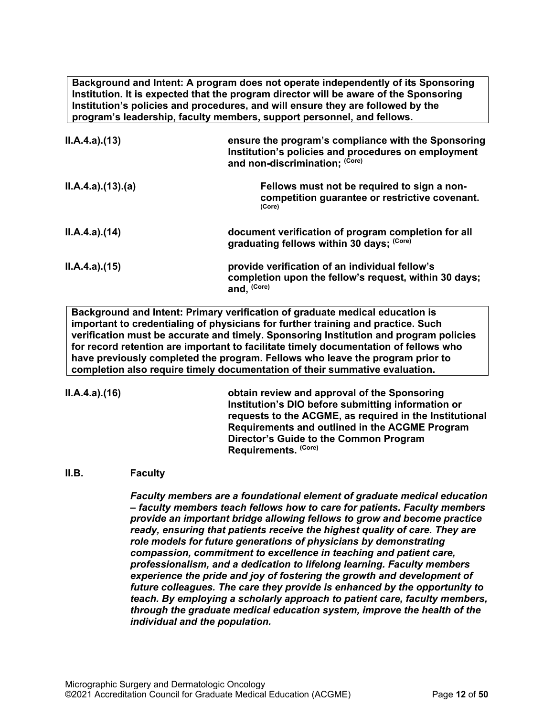**Background and Intent: A program does not operate independently of its Sponsoring Institution. It is expected that the program director will be aware of the Sponsoring Institution's policies and procedures, and will ensure they are followed by the program's leadership, faculty members, support personnel, and fellows.**

| ILA.4.a)(13)     | ensure the program's compliance with the Sponsoring<br>Institution's policies and procedures on employment<br>and non-discrimination; (Core) |
|------------------|----------------------------------------------------------------------------------------------------------------------------------------------|
| II.A.4.a)(13)(a) | Fellows must not be required to sign a non-<br>competition guarantee or restrictive covenant.<br>(Core)                                      |
| II.A.4.a)(14)    | document verification of program completion for all<br>graduating fellows within 30 days; (Core)                                             |
| II.A.4.a)(15)    | provide verification of an individual fellow's<br>completion upon the fellow's request, within 30 days;<br>and, (Core)                       |

**Background and Intent: Primary verification of graduate medical education is important to credentialing of physicians for further training and practice. Such verification must be accurate and timely. Sponsoring Institution and program policies for record retention are important to facilitate timely documentation of fellows who have previously completed the program. Fellows who leave the program prior to completion also require timely documentation of their summative evaluation.**

**II.A.4.a).(16) obtain review and approval of the Sponsoring Institution's DIO before submitting information or requests to the ACGME, as required in the Institutional Requirements and outlined in the ACGME Program Director's Guide to the Common Program Requirements. (Core)**

# <span id="page-11-0"></span>**II.B. Faculty**

*Faculty members are a foundational element of graduate medical education – faculty members teach fellows how to care for patients. Faculty members provide an important bridge allowing fellows to grow and become practice ready, ensuring that patients receive the highest quality of care. They are role models for future generations of physicians by demonstrating compassion, commitment to excellence in teaching and patient care, professionalism, and a dedication to lifelong learning. Faculty members experience the pride and joy of fostering the growth and development of future colleagues. The care they provide is enhanced by the opportunity to teach. By employing a scholarly approach to patient care, faculty members, through the graduate medical education system, improve the health of the individual and the population.*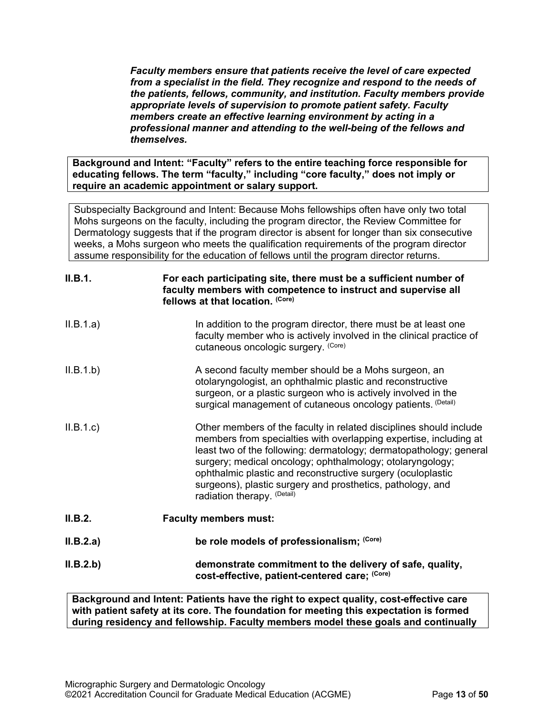*Faculty members ensure that patients receive the level of care expected from a specialist in the field. They recognize and respond to the needs of the patients, fellows, community, and institution. Faculty members provide appropriate levels of supervision to promote patient safety. Faculty members create an effective learning environment by acting in a professional manner and attending to the well-being of the fellows and themselves.*

**Background and Intent: "Faculty" refers to the entire teaching force responsible for educating fellows. The term "faculty," including "core faculty," does not imply or require an academic appointment or salary support.**

Subspecialty Background and Intent: Because Mohs fellowships often have only two total Mohs surgeons on the faculty, including the program director, the Review Committee for Dermatology suggests that if the program director is absent for longer than six consecutive weeks, a Mohs surgeon who meets the qualification requirements of the program director assume responsibility for the education of fellows until the program director returns.

| II.B.1.   | For each participating site, there must be a sufficient number of<br>faculty members with competence to instruct and supervise all<br>fellows at that location. (Core)                                                                                                                                                                                                                                                                 |
|-----------|----------------------------------------------------------------------------------------------------------------------------------------------------------------------------------------------------------------------------------------------------------------------------------------------------------------------------------------------------------------------------------------------------------------------------------------|
| II.B.1.a) | In addition to the program director, there must be at least one<br>faculty member who is actively involved in the clinical practice of<br>cutaneous oncologic surgery. (Core)                                                                                                                                                                                                                                                          |
| II.B.1.b) | A second faculty member should be a Mohs surgeon, an<br>otolaryngologist, an ophthalmic plastic and reconstructive<br>surgeon, or a plastic surgeon who is actively involved in the<br>surgical management of cutaneous oncology patients. (Detail)                                                                                                                                                                                    |
| II.B.1.c  | Other members of the faculty in related disciplines should include<br>members from specialties with overlapping expertise, including at<br>least two of the following: dermatology; dermatopathology; general<br>surgery; medical oncology; ophthalmology; otolaryngology;<br>ophthalmic plastic and reconstructive surgery (oculoplastic<br>surgeons), plastic surgery and prosthetics, pathology, and<br>radiation therapy. (Detail) |
| II.B.2.   | <b>Faculty members must:</b>                                                                                                                                                                                                                                                                                                                                                                                                           |
| II.B.2.a) | be role models of professionalism; (Core)                                                                                                                                                                                                                                                                                                                                                                                              |
| II.B.2.b) | demonstrate commitment to the delivery of safe, quality,<br>cost-effective, patient-centered care; (Core)                                                                                                                                                                                                                                                                                                                              |

**Background and Intent: Patients have the right to expect quality, cost-effective care with patient safety at its core. The foundation for meeting this expectation is formed during residency and fellowship. Faculty members model these goals and continually**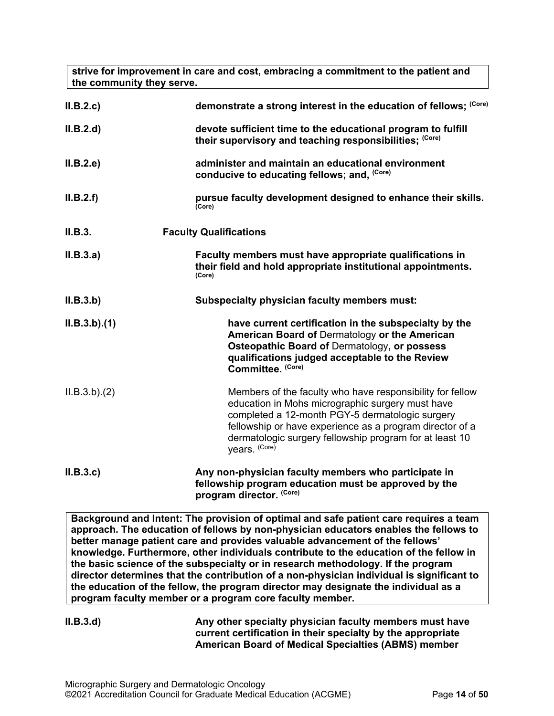**strive for improvement in care and cost, embracing a commitment to the patient and the community they serve.**

| II.B.2.c    | demonstrate a strong interest in the education of fellows; (Core)                                                                                                                                                                                                                                        |
|-------------|----------------------------------------------------------------------------------------------------------------------------------------------------------------------------------------------------------------------------------------------------------------------------------------------------------|
| II.B.2.d    | devote sufficient time to the educational program to fulfill<br>their supervisory and teaching responsibilities; (Core)                                                                                                                                                                                  |
| II.B.2.e    | administer and maintain an educational environment<br>conducive to educating fellows; and, (Core)                                                                                                                                                                                                        |
| II.B.2.f    | pursue faculty development designed to enhance their skills.<br>(Core)                                                                                                                                                                                                                                   |
| II.B.3.     | <b>Faculty Qualifications</b>                                                                                                                                                                                                                                                                            |
| II.B.3.a)   | Faculty members must have appropriate qualifications in<br>their field and hold appropriate institutional appointments.<br>(Core)                                                                                                                                                                        |
| II.B.3.b)   | <b>Subspecialty physician faculty members must:</b>                                                                                                                                                                                                                                                      |
| ILB.3.b)(1) | have current certification in the subspecialty by the<br>American Board of Dermatology or the American<br>Osteopathic Board of Dermatology, or possess<br>qualifications judged acceptable to the Review<br>Committee. (Core)                                                                            |
| ILB.3.b)(2) | Members of the faculty who have responsibility for fellow<br>education in Mohs micrographic surgery must have<br>completed a 12-month PGY-5 dermatologic surgery<br>fellowship or have experience as a program director of a<br>dermatologic surgery fellowship program for at least 10<br>years. (Core) |
| II.B.3.c    | Any non-physician faculty members who participate in<br>fellowship program education must be approved by the<br>program director. (Core)                                                                                                                                                                 |

**Background and Intent: The provision of optimal and safe patient care requires a team approach. The education of fellows by non-physician educators enables the fellows to better manage patient care and provides valuable advancement of the fellows' knowledge. Furthermore, other individuals contribute to the education of the fellow in the basic science of the subspecialty or in research methodology. If the program director determines that the contribution of a non-physician individual is significant to the education of the fellow, the program director may designate the individual as a program faculty member or a program core faculty member.**

**II.B.3.d) Any other specialty physician faculty members must have current certification in their specialty by the appropriate American Board of Medical Specialties (ABMS) member**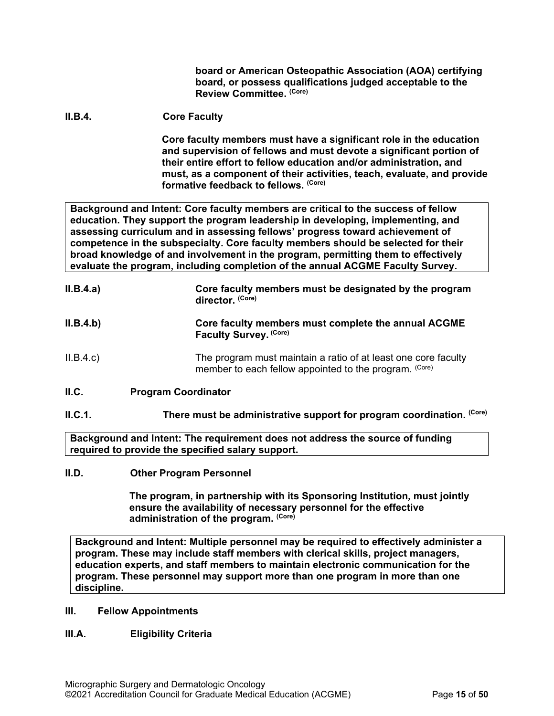**board or American Osteopathic Association (AOA) certifying board, or possess qualifications judged acceptable to the Review Committee. (Core)**

# **II.B.4. Core Faculty**

**Core faculty members must have a significant role in the education and supervision of fellows and must devote a significant portion of their entire effort to fellow education and/or administration, and must, as a component of their activities, teach, evaluate, and provide formative feedback to fellows. (Core)**

**Background and Intent: Core faculty members are critical to the success of fellow education. They support the program leadership in developing, implementing, and assessing curriculum and in assessing fellows' progress toward achievement of competence in the subspecialty. Core faculty members should be selected for their broad knowledge of and involvement in the program, permitting them to effectively evaluate the program, including completion of the annual ACGME Faculty Survey.**

| II.B.4.a) | Core faculty members must be designated by the program<br>director. (Core)                                               |
|-----------|--------------------------------------------------------------------------------------------------------------------------|
| II.B.4.b) | Core faculty members must complete the annual ACGME<br>Faculty Survey. (Core)                                            |
| II.B.4.c  | The program must maintain a ratio of at least one core faculty<br>member to each fellow appointed to the program. (Core) |
| II.C.     | <b>Program Coordinator</b>                                                                                               |

<span id="page-14-0"></span>**II.C.1. There must be administrative support for program coordination.** (Core)

**Background and Intent: The requirement does not address the source of funding required to provide the specified salary support.**

#### <span id="page-14-1"></span>**II.D. Other Program Personnel**

**The program, in partnership with its Sponsoring Institution***,* **must jointly ensure the availability of necessary personnel for the effective administration of the program. (Core)**

**Background and Intent: Multiple personnel may be required to effectively administer a program. These may include staff members with clerical skills, project managers, education experts, and staff members to maintain electronic communication for the program. These personnel may support more than one program in more than one discipline.**

#### <span id="page-14-2"></span>**III. Fellow Appointments**

# <span id="page-14-3"></span>**III.A. Eligibility Criteria**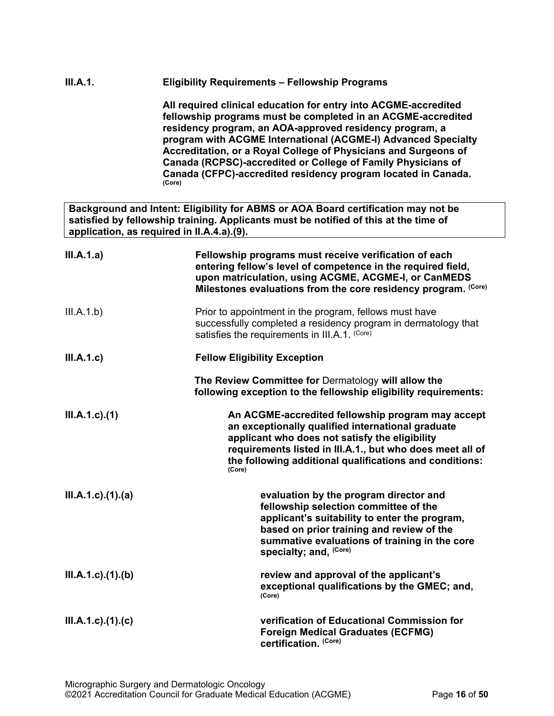# **III.A.1. Eligibility Requirements – Fellowship Programs**

**All required clinical education for entry into ACGME-accredited fellowship programs must be completed in an ACGME-accredited residency program, an AOA-approved residency program, a program with ACGME International (ACGME-I) Advanced Specialty Accreditation, or a Royal College of Physicians and Surgeons of Canada (RCPSC)-accredited or College of Family Physicians of Canada (CFPC)-accredited residency program located in Canada. (Core)**

**Background and Intent: Eligibility for ABMS or AOA Board certification may not be satisfied by fellowship training. Applicants must be notified of this at the time of application, as required in II.A.4.a).(9).**

| III.A.1.a)                 | Fellowship programs must receive verification of each<br>entering fellow's level of competence in the required field,<br>upon matriculation, using ACGME, ACGME-I, or CanMEDS<br>Milestones evaluations from the core residency program. (Core)                                            |
|----------------------------|--------------------------------------------------------------------------------------------------------------------------------------------------------------------------------------------------------------------------------------------------------------------------------------------|
| III.A.1.b)                 | Prior to appointment in the program, fellows must have<br>successfully completed a residency program in dermatology that<br>satisfies the requirements in III.A.1. (Core)                                                                                                                  |
| III.A.1.c                  | <b>Fellow Eligibility Exception</b>                                                                                                                                                                                                                                                        |
|                            | The Review Committee for Dermatology will allow the<br>following exception to the fellowship eligibility requirements:                                                                                                                                                                     |
| $III.A.1.c$ ). $(1)$       | An ACGME-accredited fellowship program may accept<br>an exceptionally qualified international graduate<br>applicant who does not satisfy the eligibility<br>requirements listed in III.A.1., but who does meet all of<br>the following additional qualifications and conditions:<br>(Core) |
| $III.A.1.c$ . $(1).$ $(a)$ | evaluation by the program director and<br>fellowship selection committee of the<br>applicant's suitability to enter the program,<br>based on prior training and review of the<br>summative evaluations of training in the core<br>specialty; and, (Core)                                   |
| $III.A.1.c$ . $(1).$ (b)   | review and approval of the applicant's<br>exceptional qualifications by the GMEC; and,<br>(Core)                                                                                                                                                                                           |
| $III.A.1.c$ ). $(1).$      | verification of Educational Commission for<br><b>Foreign Medical Graduates (ECFMG)</b><br>certification. (Core)                                                                                                                                                                            |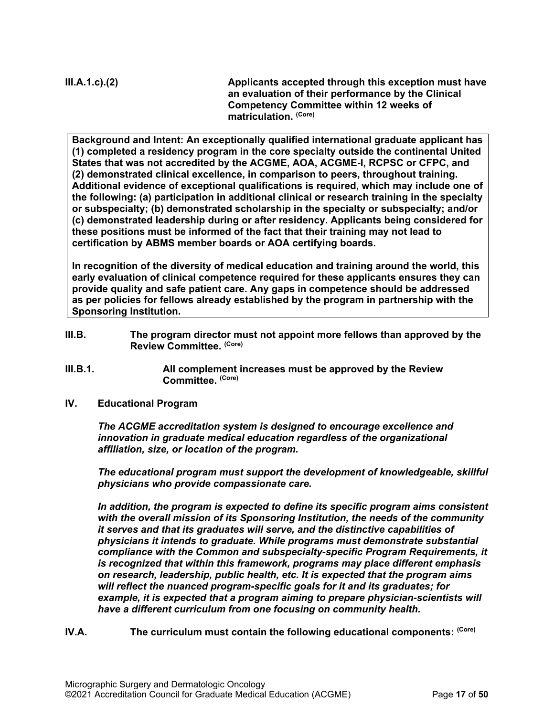**III.A.1.c).(2) Applicants accepted through this exception must have an evaluation of their performance by the Clinical Competency Committee within 12 weeks of matriculation. (Core)**

**Background and Intent: An exceptionally qualified international graduate applicant has (1) completed a residency program in the core specialty outside the continental United States that was not accredited by the ACGME, AOA, ACGME-I, RCPSC or CFPC, and (2) demonstrated clinical excellence, in comparison to peers, throughout training. Additional evidence of exceptional qualifications is required, which may include one of the following: (a) participation in additional clinical or research training in the specialty or subspecialty; (b) demonstrated scholarship in the specialty or subspecialty; and/or (c) demonstrated leadership during or after residency. Applicants being considered for these positions must be informed of the fact that their training may not lead to certification by ABMS member boards or AOA certifying boards.**

**In recognition of the diversity of medical education and training around the world, this early evaluation of clinical competence required for these applicants ensures they can provide quality and safe patient care. Any gaps in competence should be addressed as per policies for fellows already established by the program in partnership with the Sponsoring Institution.**

- <span id="page-16-0"></span>**III.B. The program director must not appoint more fellows than approved by the Review Committee. (Core)**
- **III.B.1. All complement increases must be approved by the Review Committee. (Core)**
- <span id="page-16-1"></span>**IV. Educational Program**

*The ACGME accreditation system is designed to encourage excellence and innovation in graduate medical education regardless of the organizational affiliation, size, or location of the program.*

*The educational program must support the development of knowledgeable, skillful physicians who provide compassionate care.*

*In addition, the program is expected to define its specific program aims consistent with the overall mission of its Sponsoring Institution, the needs of the community it serves and that its graduates will serve, and the distinctive capabilities of physicians it intends to graduate. While programs must demonstrate substantial compliance with the Common and subspecialty-specific Program Requirements, it is recognized that within this framework, programs may place different emphasis on research, leadership, public health, etc. It is expected that the program aims will reflect the nuanced program-specific goals for it and its graduates; for*  example, it is expected that a program aiming to prepare physician-scientists will *have a different curriculum from one focusing on community health.*

<span id="page-16-2"></span>**IV.A.** The curriculum must contain the following educational components: <sup>(Core)</sup>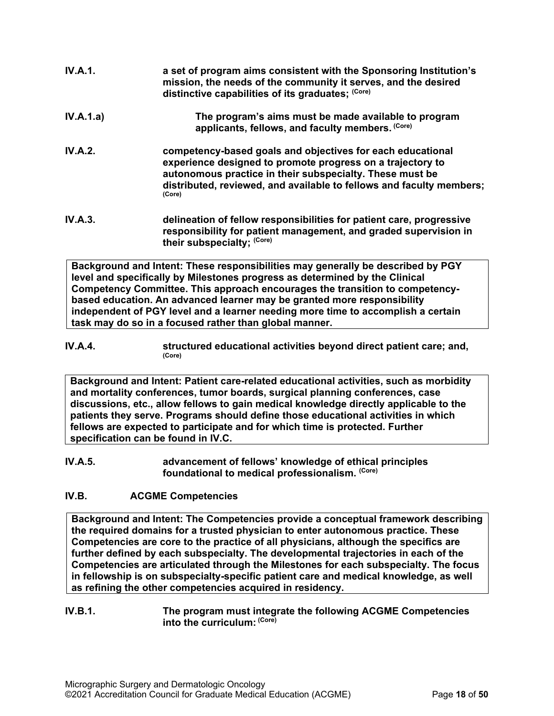| IV.A.1.        | a set of program aims consistent with the Sponsoring Institution's<br>mission, the needs of the community it serves, and the desired<br>distinctive capabilities of its graduates; (Core)                                                                              |
|----------------|------------------------------------------------------------------------------------------------------------------------------------------------------------------------------------------------------------------------------------------------------------------------|
| IV.A.1.a)      | The program's aims must be made available to program<br>applicants, fellows, and faculty members. (Core)                                                                                                                                                               |
| <b>IV.A.2.</b> | competency-based goals and objectives for each educational<br>experience designed to promote progress on a trajectory to<br>autonomous practice in their subspecialty. These must be<br>distributed, reviewed, and available to fellows and faculty members;<br>(Core) |
| IV.A.3.        | delineation of fellow responsibilities for patient care, progressive<br>responsibility for patient management, and graded supervision in                                                                                                                               |

**Background and Intent: These responsibilities may generally be described by PGY level and specifically by Milestones progress as determined by the Clinical Competency Committee. This approach encourages the transition to competencybased education. An advanced learner may be granted more responsibility independent of PGY level and a learner needing more time to accomplish a certain task may do so in a focused rather than global manner.**

**their subspecialty; (Core)**

**IV.A.4. structured educational activities beyond direct patient care; and,**  $\frac{\text{(Core)}}{\text{(Core)}}$ 

**Background and Intent: Patient care-related educational activities, such as morbidity and mortality conferences, tumor boards, surgical planning conferences, case discussions, etc., allow fellows to gain medical knowledge directly applicable to the patients they serve. Programs should define those educational activities in which fellows are expected to participate and for which time is protected. Further specification can be found in IV.C.**

**IV.A.5. advancement of fellows' knowledge of ethical principles foundational to medical professionalism. (Core)**

# <span id="page-17-0"></span>**IV.B. ACGME Competencies**

**Background and Intent: The Competencies provide a conceptual framework describing the required domains for a trusted physician to enter autonomous practice. These Competencies are core to the practice of all physicians, although the specifics are further defined by each subspecialty. The developmental trajectories in each of the Competencies are articulated through the Milestones for each subspecialty. The focus in fellowship is on subspecialty-specific patient care and medical knowledge, as well as refining the other competencies acquired in residency.**

#### **IV.B.1. The program must integrate the following ACGME Competencies into the curriculum: (Core)**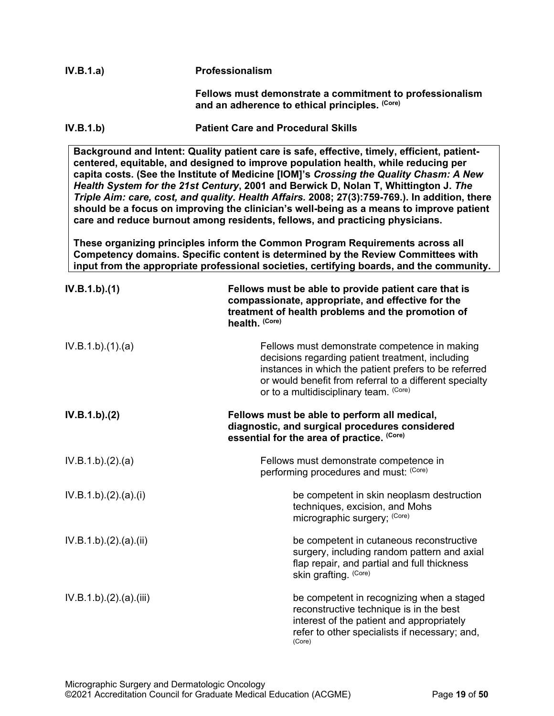| IV.B.1.a) | <b>Professionalism</b> |
|-----------|------------------------|
|-----------|------------------------|

**Fellows must demonstrate a commitment to professionalism**  and an adherence to ethical principles. <sup>(Core)</sup>

**IV.B.1.b) Patient Care and Procedural Skills**

**Background and Intent: Quality patient care is safe, effective, timely, efficient, patientcentered, equitable, and designed to improve population health, while reducing per capita costs. (See the Institute of Medicine [IOM]'s** *Crossing the Quality Chasm: A New Health System for the 21st Century***, 2001 and Berwick D, Nolan T, Whittington J.** *The Triple Aim: care, cost, and quality. Health Affairs.* **2008; 27(3):759-769.). In addition, there should be a focus on improving the clinician's well-being as a means to improve patient care and reduce burnout among residents, fellows, and practicing physicians.**

**These organizing principles inform the Common Program Requirements across all Competency domains. Specific content is determined by the Review Committees with input from the appropriate professional societies, certifying boards, and the community.**

| IV.B.1.b)(1)          | Fellows must be able to provide patient care that is<br>compassionate, appropriate, and effective for the<br>treatment of health problems and the promotion of<br>health. (Core)                                                                                |
|-----------------------|-----------------------------------------------------------------------------------------------------------------------------------------------------------------------------------------------------------------------------------------------------------------|
| IV.B.1.b)(1)(a)       | Fellows must demonstrate competence in making<br>decisions regarding patient treatment, including<br>instances in which the patient prefers to be referred<br>or would benefit from referral to a different specialty<br>or to a multidisciplinary team. (Core) |
| IV.B.1.b)(2)          | Fellows must be able to perform all medical,<br>diagnostic, and surgical procedures considered<br>essential for the area of practice. (Core)                                                                                                                    |
| IV.B.1.b)(2).(a)      | Fellows must demonstrate competence in<br>performing procedures and must: (Core)                                                                                                                                                                                |
| IV.B.1.b)(2).(a)(i)   | be competent in skin neoplasm destruction<br>techniques, excision, and Mohs<br>micrographic surgery; (Core)                                                                                                                                                     |
| IV.B.1.b)(2).(a)(ii)  | be competent in cutaneous reconstructive<br>surgery, including random pattern and axial<br>flap repair, and partial and full thickness<br>skin grafting. (Core)                                                                                                 |
| IV.B.1.b)(2).(a)(iii) | be competent in recognizing when a staged<br>reconstructive technique is in the best<br>interest of the patient and appropriately<br>refer to other specialists if necessary; and,<br>(Core)                                                                    |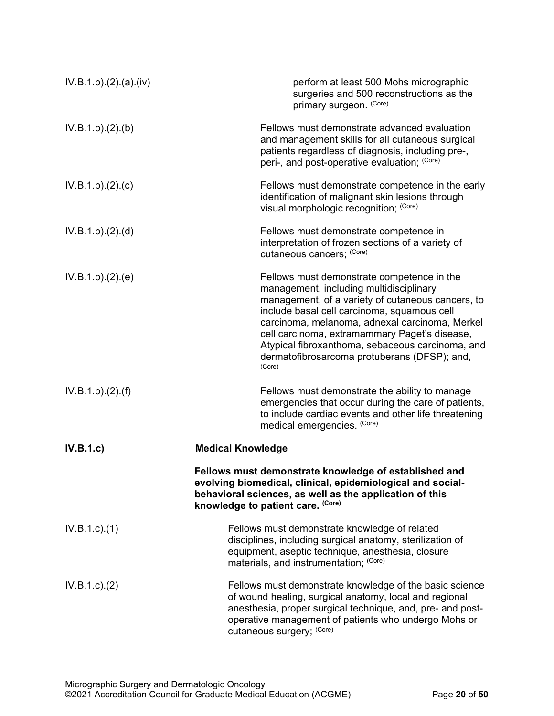| IV.B.1.b)(2)(a)(iv) | perform at least 500 Mohs micrographic<br>surgeries and 500 reconstructions as the<br>primary surgeon. (Core)                                                                                                                                                                                                                                                                                              |
|---------------------|------------------------------------------------------------------------------------------------------------------------------------------------------------------------------------------------------------------------------------------------------------------------------------------------------------------------------------------------------------------------------------------------------------|
| IV.B.1.b)(2)(b)     | Fellows must demonstrate advanced evaluation<br>and management skills for all cutaneous surgical<br>patients regardless of diagnosis, including pre-,<br>peri-, and post-operative evaluation; (Core)                                                                                                                                                                                                      |
| IV.B.1.b)(2).(c)    | Fellows must demonstrate competence in the early<br>identification of malignant skin lesions through<br>visual morphologic recognition; (Core)                                                                                                                                                                                                                                                             |
| IV.B.1.b)(2)(d)     | Fellows must demonstrate competence in<br>interpretation of frozen sections of a variety of<br>cutaneous cancers; (Core)                                                                                                                                                                                                                                                                                   |
| IV.B.1.b)(2)(e)     | Fellows must demonstrate competence in the<br>management, including multidisciplinary<br>management, of a variety of cutaneous cancers, to<br>include basal cell carcinoma, squamous cell<br>carcinoma, melanoma, adnexal carcinoma, Merkel<br>cell carcinoma, extramammary Paget's disease,<br>Atypical fibroxanthoma, sebaceous carcinoma, and<br>dermatofibrosarcoma protuberans (DFSP); and,<br>(Core) |
| IV.B.1.b)(2)(f)     | Fellows must demonstrate the ability to manage<br>emergencies that occur during the care of patients,<br>to include cardiac events and other life threatening<br>medical emergencies. (Core)                                                                                                                                                                                                               |
| IV.B.1.c)           | <b>Medical Knowledge</b>                                                                                                                                                                                                                                                                                                                                                                                   |
|                     | Fellows must demonstrate knowledge of established and<br>evolving biomedical, clinical, epidemiological and social-<br>behavioral sciences, as well as the application of this<br>knowledge to patient care. (Core)                                                                                                                                                                                        |
| $IV.B.1.c.$ (1)     | Fellows must demonstrate knowledge of related<br>disciplines, including surgical anatomy, sterilization of<br>equipment, aseptic technique, anesthesia, closure<br>materials, and instrumentation; (Core)                                                                                                                                                                                                  |
| $IV.B.1.c$ ). $(2)$ | Fellows must demonstrate knowledge of the basic science<br>of wound healing, surgical anatomy, local and regional<br>anesthesia, proper surgical technique, and, pre- and post-<br>operative management of patients who undergo Mohs or<br>cutaneous surgery; (Core)                                                                                                                                       |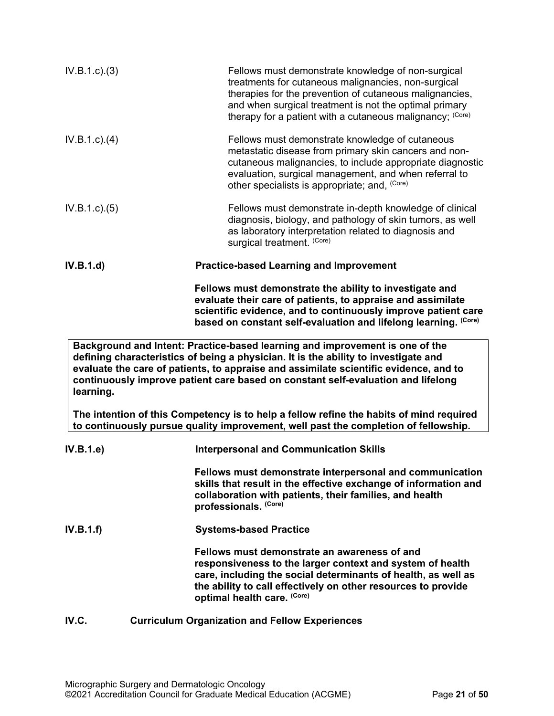| IV.B.1.c.3)     | Fellows must demonstrate knowledge of non-surgical<br>treatments for cutaneous malignancies, non-surgical<br>therapies for the prevention of cutaneous malignancies,<br>and when surgical treatment is not the optimal primary<br>therapy for a patient with a cutaneous malignancy; (Core)                                                      |
|-----------------|--------------------------------------------------------------------------------------------------------------------------------------------------------------------------------------------------------------------------------------------------------------------------------------------------------------------------------------------------|
| $IV.B.1.c.$ (4) | Fellows must demonstrate knowledge of cutaneous<br>metastatic disease from primary skin cancers and non-<br>cutaneous malignancies, to include appropriate diagnostic<br>evaluation, surgical management, and when referral to<br>other specialists is appropriate; and, (Core)                                                                  |
| IV.B.1.c. (5)   | Fellows must demonstrate in-depth knowledge of clinical<br>diagnosis, biology, and pathology of skin tumors, as well<br>as laboratory interpretation related to diagnosis and<br>surgical treatment. (Core)                                                                                                                                      |
| IV.B.1.d)       | <b>Practice-based Learning and Improvement</b>                                                                                                                                                                                                                                                                                                   |
|                 | Fellows must demonstrate the ability to investigate and<br>evaluate their care of patients, to appraise and assimilate<br>scientific evidence, and to continuously improve patient care<br>based on constant self-evaluation and lifelong learning. (Core)                                                                                       |
| learning.       | Background and Intent: Practice-based learning and improvement is one of the<br>defining characteristics of being a physician. It is the ability to investigate and<br>evaluate the care of patients, to appraise and assimilate scientific evidence, and to<br>continuously improve patient care based on constant self-evaluation and lifelong |
|                 | The intention of this Competency is to help a fellow refine the habits of mind required<br>to continuously pursue quality improvement, well past the completion of fellowship.                                                                                                                                                                   |
| IV.B.1.e        | <b>Interpersonal and Communication Skills</b>                                                                                                                                                                                                                                                                                                    |
|                 | Fellows must demonstrate interpersonal and communication<br>skills that result in the effective exchange of information and<br>collaboration with patients, their families, and health<br>professionals. (Core)                                                                                                                                  |
| IV.B.1.f)       | <b>Systems-based Practice</b>                                                                                                                                                                                                                                                                                                                    |
|                 | Fellows must demonstrate an awareness of and<br>in a sin die die eilanderen sinderisk sin al-                                                                                                                                                                                                                                                    |

**responsiveness to the larger context and system of health care, including the social determinants of health, as well as the ability to call effectively on other resources to provide optimal health care. (Core)**

# <span id="page-20-0"></span>**IV.C. Curriculum Organization and Fellow Experiences**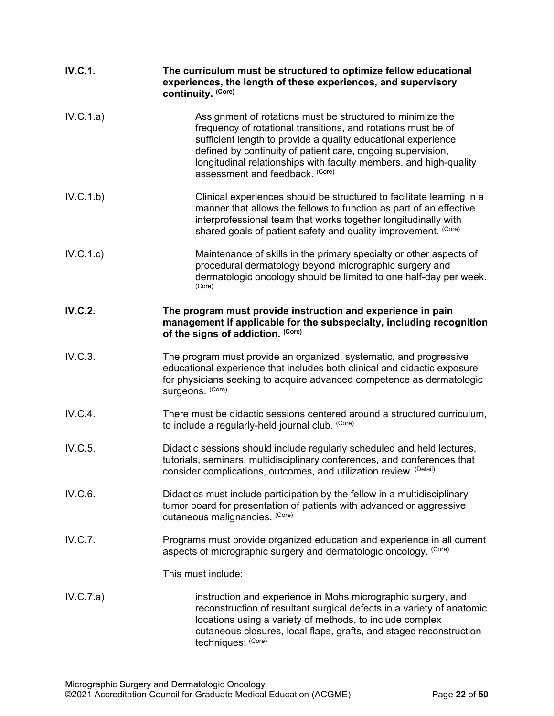| <b>IV.C.1.</b> | The curriculum must be structured to optimize fellow educational<br>experiences, the length of these experiences, and supervisory<br>continuity. (Core)                                                                                                                                                                                                             |
|----------------|---------------------------------------------------------------------------------------------------------------------------------------------------------------------------------------------------------------------------------------------------------------------------------------------------------------------------------------------------------------------|
| IV.C.1.a)      | Assignment of rotations must be structured to minimize the<br>frequency of rotational transitions, and rotations must be of<br>sufficient length to provide a quality educational experience<br>defined by continuity of patient care, ongoing supervision,<br>longitudinal relationships with faculty members, and high-quality<br>assessment and feedback. (Core) |
| IV.C.1.b)      | Clinical experiences should be structured to facilitate learning in a<br>manner that allows the fellows to function as part of an effective<br>interprofessional team that works together longitudinally with<br>shared goals of patient safety and quality improvement. (Core)                                                                                     |
| IV.C.1.c)      | Maintenance of skills in the primary specialty or other aspects of<br>procedural dermatology beyond micrographic surgery and<br>dermatologic oncology should be limited to one half-day per week.<br>(Core)                                                                                                                                                         |
| <b>IV.C.2.</b> | The program must provide instruction and experience in pain<br>management if applicable for the subspecialty, including recognition<br>of the signs of addiction. (Core)                                                                                                                                                                                            |
| IV.C.3.        | The program must provide an organized, systematic, and progressive<br>educational experience that includes both clinical and didactic exposure<br>for physicians seeking to acquire advanced competence as dermatologic<br>surgeons. (Core)                                                                                                                         |
| IV.C.4.        | There must be didactic sessions centered around a structured curriculum,<br>to include a regularly-held journal club. (Core)                                                                                                                                                                                                                                        |
| IV.C.5.        | Didactic sessions should include regularly scheduled and held lectures,<br>tutorials, seminars, multidisciplinary conferences, and conferences that<br>consider complications, outcomes, and utilization review. (Detail)                                                                                                                                           |
| IV.C.6.        | Didactics must include participation by the fellow in a multidisciplinary<br>tumor board for presentation of patients with advanced or aggressive<br>cutaneous malignancies. (Core)                                                                                                                                                                                 |
| IV.C.7.        | Programs must provide organized education and experience in all current<br>aspects of micrographic surgery and dermatologic oncology. (Core)                                                                                                                                                                                                                        |
|                | This must include:                                                                                                                                                                                                                                                                                                                                                  |
| IV.C.7.a)      | instruction and experience in Mohs micrographic surgery, and<br>reconstruction of resultant surgical defects in a variety of anatomic<br>locations using a variety of methods, to include complex<br>cutaneous closures, local flaps, grafts, and staged reconstruction<br>techniques; (Core)                                                                       |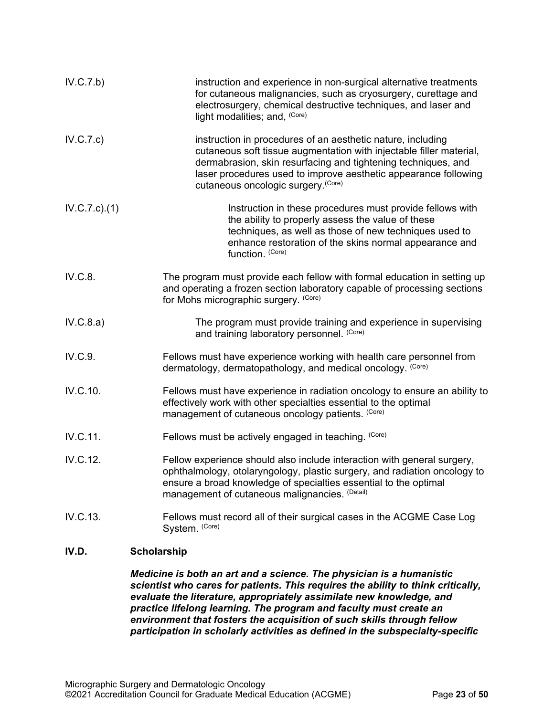| IV.C.7.b)        | instruction and experience in non-surgical alternative treatments<br>for cutaneous malignancies, such as cryosurgery, curettage and<br>electrosurgery, chemical destructive techniques, and laser and<br>light modalities; and, (Core)                                                                        |
|------------------|---------------------------------------------------------------------------------------------------------------------------------------------------------------------------------------------------------------------------------------------------------------------------------------------------------------|
| IV.C.7.c)        | instruction in procedures of an aesthetic nature, including<br>cutaneous soft tissue augmentation with injectable filler material,<br>dermabrasion, skin resurfacing and tightening techniques, and<br>laser procedures used to improve aesthetic appearance following<br>cutaneous oncologic surgery. (Core) |
| $IV.C.7.c$ $(1)$ | Instruction in these procedures must provide fellows with<br>the ability to properly assess the value of these<br>techniques, as well as those of new techniques used to<br>enhance restoration of the skins normal appearance and<br>function. (Core)                                                        |
| IV.C.8.          | The program must provide each fellow with formal education in setting up<br>and operating a frozen section laboratory capable of processing sections<br>for Mohs micrographic surgery. (Core)                                                                                                                 |
| IV.C.8.a)        | The program must provide training and experience in supervising<br>and training laboratory personnel. (Core)                                                                                                                                                                                                  |
| IV.C.9.          | Fellows must have experience working with health care personnel from<br>dermatology, dermatopathology, and medical oncology. (Core)                                                                                                                                                                           |
| IV.C.10.         | Fellows must have experience in radiation oncology to ensure an ability to<br>effectively work with other specialties essential to the optimal<br>management of cutaneous oncology patients. (Core)                                                                                                           |
| IV.C.11.         | Fellows must be actively engaged in teaching. (Core)                                                                                                                                                                                                                                                          |
| IV.C.12.         | Fellow experience should also include interaction with general surgery,<br>ophthalmology, otolaryngology, plastic surgery, and radiation oncology to<br>ensure a broad knowledge of specialties essential to the optimal<br>management of cutaneous malignancies. (Detail)                                    |
| IV.C.13.         | Fellows must record all of their surgical cases in the ACGME Case Log<br>System. (Core)                                                                                                                                                                                                                       |
| IV.D.            | <b>Scholarship</b>                                                                                                                                                                                                                                                                                            |

<span id="page-22-0"></span>*Medicine is both an art and a science. The physician is a humanistic scientist who cares for patients. This requires the ability to think critically, evaluate the literature, appropriately assimilate new knowledge, and practice lifelong learning. The program and faculty must create an environment that fosters the acquisition of such skills through fellow participation in scholarly activities as defined in the subspecialty-specific*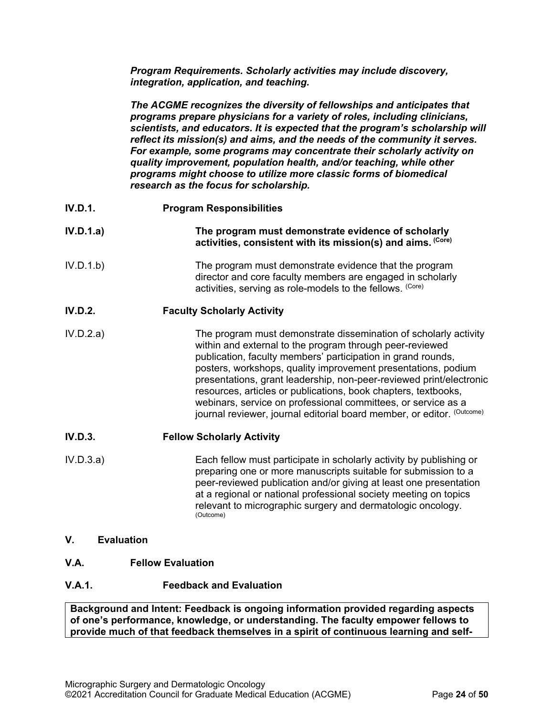*Program Requirements. Scholarly activities may include discovery, integration, application, and teaching.*

*The ACGME recognizes the diversity of fellowships and anticipates that programs prepare physicians for a variety of roles, including clinicians, scientists, and educators. It is expected that the program's scholarship will reflect its mission(s) and aims, and the needs of the community it serves. For example, some programs may concentrate their scholarly activity on quality improvement, population health, and/or teaching, while other programs might choose to utilize more classic forms of biomedical research as the focus for scholarship.*

- **IV.D.1. Program Responsibilities**
- **IV.D.1.a) The program must demonstrate evidence of scholarly activities, consistent with its mission(s) and aims. (Core)**
- IV.D.1.b) The program must demonstrate evidence that the program director and core faculty members are engaged in scholarly activities, serving as role-models to the fellows. (Core)

# **IV.D.2. Faculty Scholarly Activity**

IV.D.2.a) The program must demonstrate dissemination of scholarly activity within and external to the program through peer-reviewed publication, faculty members' participation in grand rounds, posters, workshops, quality improvement presentations, podium presentations, grant leadership, non-peer-reviewed print/electronic resources, articles or publications, book chapters, textbooks, webinars, service on professional committees, or service as a journal reviewer, journal editorial board member, or editor. (Outcome)

# **IV.D.3. Fellow Scholarly Activity**

- IV.D.3.a) Each fellow must participate in scholarly activity by publishing or preparing one or more manuscripts suitable for submission to a peer-reviewed publication and/or giving at least one presentation at a regional or national professional society meeting on topics relevant to micrographic surgery and dermatologic oncology.<br>(Outcome)
- <span id="page-23-0"></span>**V. Evaluation**
- <span id="page-23-1"></span>**V.A. Fellow Evaluation**
- **V.A.1. Feedback and Evaluation**

**Background and Intent: Feedback is ongoing information provided regarding aspects of one's performance, knowledge, or understanding. The faculty empower fellows to provide much of that feedback themselves in a spirit of continuous learning and self-**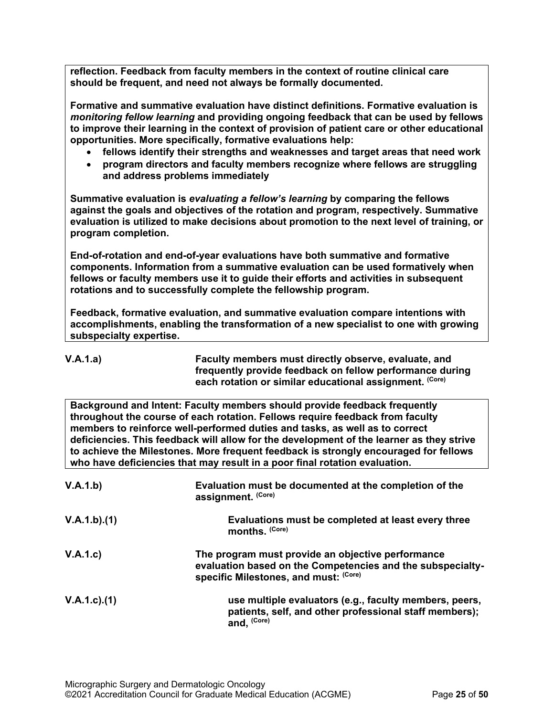**reflection. Feedback from faculty members in the context of routine clinical care should be frequent, and need not always be formally documented.**

**Formative and summative evaluation have distinct definitions. Formative evaluation is**  *monitoring fellow learning* **and providing ongoing feedback that can be used by fellows to improve their learning in the context of provision of patient care or other educational opportunities. More specifically, formative evaluations help:**

- **fellows identify their strengths and weaknesses and target areas that need work**
- **program directors and faculty members recognize where fellows are struggling and address problems immediately**

**Summative evaluation is** *evaluating a fellow's learning* **by comparing the fellows against the goals and objectives of the rotation and program, respectively. Summative evaluation is utilized to make decisions about promotion to the next level of training, or program completion.**

**End-of-rotation and end-of-year evaluations have both summative and formative components. Information from a summative evaluation can be used formatively when fellows or faculty members use it to guide their efforts and activities in subsequent rotations and to successfully complete the fellowship program.**

**Feedback, formative evaluation, and summative evaluation compare intentions with accomplishments, enabling the transformation of a new specialist to one with growing subspecialty expertise.** 

**V.A.1.a) Faculty members must directly observe, evaluate, and frequently provide feedback on fellow performance during each rotation or similar educational assignment. (Core)**

**Background and Intent: Faculty members should provide feedback frequently throughout the course of each rotation. Fellows require feedback from faculty members to reinforce well-performed duties and tasks, as well as to correct deficiencies. This feedback will allow for the development of the learner as they strive to achieve the Milestones. More frequent feedback is strongly encouraged for fellows who have deficiencies that may result in a poor final rotation evaluation.**

| V.A.1.b)          | Evaluation must be documented at the completion of the<br>assignment. (Core)                                                                             |
|-------------------|----------------------------------------------------------------------------------------------------------------------------------------------------------|
| V.A.1.b)(1)       | Evaluations must be completed at least every three<br>months. (Core)                                                                                     |
| V.A.1.c)          | The program must provide an objective performance<br>evaluation based on the Competencies and the subspecialty-<br>specific Milestones, and must: (Core) |
| $V.A.1.c$ . $(1)$ | use multiple evaluators (e.g., faculty members, peers,<br>patients, self, and other professional staff members);<br>and, (Core)                          |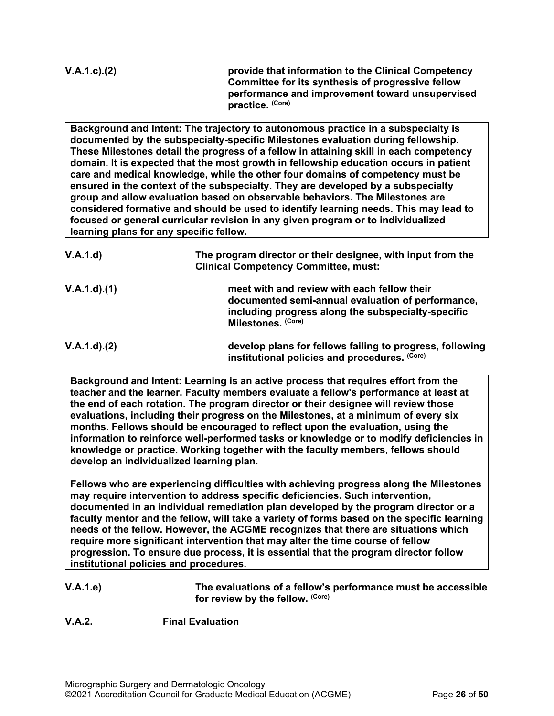**Committee for its synthesis of progressive fellow performance and improvement toward unsupervised practice. (Core)**

**Background and Intent: The trajectory to autonomous practice in a subspecialty is documented by the subspecialty-specific Milestones evaluation during fellowship. These Milestones detail the progress of a fellow in attaining skill in each competency domain. It is expected that the most growth in fellowship education occurs in patient care and medical knowledge, while the other four domains of competency must be ensured in the context of the subspecialty. They are developed by a subspecialty group and allow evaluation based on observable behaviors. The Milestones are considered formative and should be used to identify learning needs. This may lead to focused or general curricular revision in any given program or to individualized learning plans for any specific fellow.**

| V.A.1.d           | The program director or their designee, with input from the<br><b>Clinical Competency Committee, must:</b>                                                                   |
|-------------------|------------------------------------------------------------------------------------------------------------------------------------------------------------------------------|
| V.A.1.d)(1)       | meet with and review with each fellow their<br>documented semi-annual evaluation of performance,<br>including progress along the subspecialty-specific<br>Milestones. (Core) |
| $V.A.1.d$ . $(2)$ | develop plans for fellows failing to progress, following<br>institutional policies and procedures. (Core)                                                                    |

**Background and Intent: Learning is an active process that requires effort from the teacher and the learner. Faculty members evaluate a fellow's performance at least at the end of each rotation. The program director or their designee will review those evaluations, including their progress on the Milestones, at a minimum of every six months. Fellows should be encouraged to reflect upon the evaluation, using the information to reinforce well-performed tasks or knowledge or to modify deficiencies in knowledge or practice. Working together with the faculty members, fellows should develop an individualized learning plan.**

**Fellows who are experiencing difficulties with achieving progress along the Milestones may require intervention to address specific deficiencies. Such intervention, documented in an individual remediation plan developed by the program director or a faculty mentor and the fellow, will take a variety of forms based on the specific learning needs of the fellow. However, the ACGME recognizes that there are situations which require more significant intervention that may alter the time course of fellow progression. To ensure due process, it is essential that the program director follow institutional policies and procedures.**

**V.A.1.e) The evaluations of a fellow's performance must be accessible for review by the fellow. (Core)**

**V.A.2. Final Evaluation**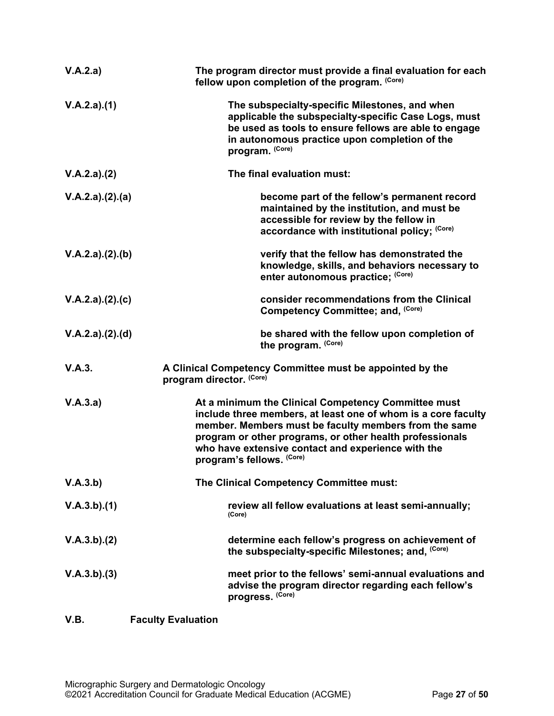<span id="page-26-0"></span>

| V.A.2.a)        | The program director must provide a final evaluation for each<br>fellow upon completion of the program. (Core)                                                                                                                                                                                                               |
|-----------------|------------------------------------------------------------------------------------------------------------------------------------------------------------------------------------------------------------------------------------------------------------------------------------------------------------------------------|
| V.A.2.a)(1)     | The subspecialty-specific Milestones, and when<br>applicable the subspecialty-specific Case Logs, must<br>be used as tools to ensure fellows are able to engage<br>in autonomous practice upon completion of the<br>program. (Core)                                                                                          |
| V.A.2.a)(2)     | The final evaluation must:                                                                                                                                                                                                                                                                                                   |
| V.A.2.a)(2).(a) | become part of the fellow's permanent record<br>maintained by the institution, and must be<br>accessible for review by the fellow in<br>accordance with institutional policy; (Core)                                                                                                                                         |
| V.A.2.a)(2).(b) | verify that the fellow has demonstrated the<br>knowledge, skills, and behaviors necessary to<br>enter autonomous practice; (Core)                                                                                                                                                                                            |
| V.A.2.a)(2).(c) | consider recommendations from the Clinical<br>Competency Committee; and, (Core)                                                                                                                                                                                                                                              |
| V.A.2.a)(2).(d) | be shared with the fellow upon completion of<br>the program. (Core)                                                                                                                                                                                                                                                          |
| V.A.3.          | A Clinical Competency Committee must be appointed by the<br>program director. (Core)                                                                                                                                                                                                                                         |
| V.A.3.a)        | At a minimum the Clinical Competency Committee must<br>include three members, at least one of whom is a core faculty<br>member. Members must be faculty members from the same<br>program or other programs, or other health professionals<br>who have extensive contact and experience with the<br>program's fellows. (Core) |
| V.A.3.b)        | The Clinical Competency Committee must:                                                                                                                                                                                                                                                                                      |
| V.A.3.b)(1)     | review all fellow evaluations at least semi-annually;<br>(Core)                                                                                                                                                                                                                                                              |
| V.A.3.b)(2)     | determine each fellow's progress on achievement of<br>the subspecialty-specific Milestones; and, (Core)                                                                                                                                                                                                                      |
| V.A.3.b)(3)     | meet prior to the fellows' semi-annual evaluations and<br>advise the program director regarding each fellow's<br>progress. (Core)                                                                                                                                                                                            |
| V.B.            | <b>Faculty Evaluation</b>                                                                                                                                                                                                                                                                                                    |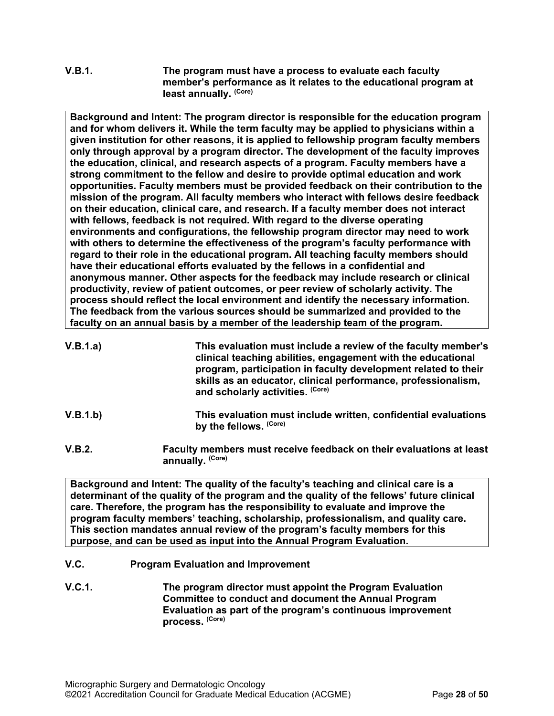# **V.B.1. The program must have a process to evaluate each faculty member's performance as it relates to the educational program at least annually. (Core)**

**Background and Intent: The program director is responsible for the education program and for whom delivers it. While the term faculty may be applied to physicians within a given institution for other reasons, it is applied to fellowship program faculty members only through approval by a program director. The development of the faculty improves the education, clinical, and research aspects of a program. Faculty members have a strong commitment to the fellow and desire to provide optimal education and work opportunities. Faculty members must be provided feedback on their contribution to the mission of the program. All faculty members who interact with fellows desire feedback on their education, clinical care, and research. If a faculty member does not interact with fellows, feedback is not required. With regard to the diverse operating environments and configurations, the fellowship program director may need to work with others to determine the effectiveness of the program's faculty performance with regard to their role in the educational program. All teaching faculty members should have their educational efforts evaluated by the fellows in a confidential and anonymous manner. Other aspects for the feedback may include research or clinical productivity, review of patient outcomes, or peer review of scholarly activity. The process should reflect the local environment and identify the necessary information. The feedback from the various sources should be summarized and provided to the faculty on an annual basis by a member of the leadership team of the program.**

| V.B.1.a) | This evaluation must include a review of the faculty member's<br>clinical teaching abilities, engagement with the educational<br>program, participation in faculty development related to their<br>skills as an educator, clinical performance, professionalism,<br>and scholarly activities. (Core) |
|----------|------------------------------------------------------------------------------------------------------------------------------------------------------------------------------------------------------------------------------------------------------------------------------------------------------|
|          |                                                                                                                                                                                                                                                                                                      |

- **V.B.1.b) This evaluation must include written, confidential evaluations by the fellows. (Core)**
- **V.B.2. Faculty members must receive feedback on their evaluations at least annually. (Core)**

**Background and Intent: The quality of the faculty's teaching and clinical care is a determinant of the quality of the program and the quality of the fellows' future clinical care. Therefore, the program has the responsibility to evaluate and improve the program faculty members' teaching, scholarship, professionalism, and quality care. This section mandates annual review of the program's faculty members for this purpose, and can be used as input into the Annual Program Evaluation.**

- <span id="page-27-0"></span>**V.C. Program Evaluation and Improvement**
- **V.C.1. The program director must appoint the Program Evaluation Committee to conduct and document the Annual Program Evaluation as part of the program's continuous improvement process. (Core)**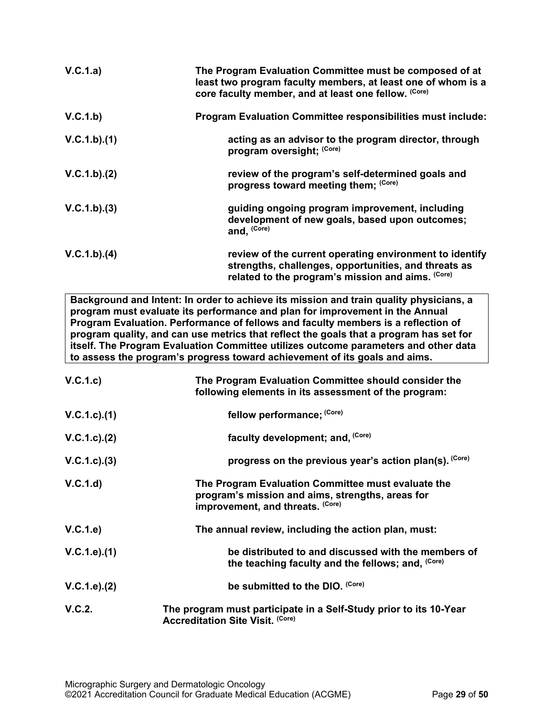| V.C.1.a)    | The Program Evaluation Committee must be composed of at<br>least two program faculty members, at least one of whom is a<br>core faculty member, and at least one fellow. (Core) |
|-------------|---------------------------------------------------------------------------------------------------------------------------------------------------------------------------------|
| V.C.1.b)    | <b>Program Evaluation Committee responsibilities must include:</b>                                                                                                              |
| V.C.1.b)(1) | acting as an advisor to the program director, through<br>program oversight; (Core)                                                                                              |
| V.C.1.b)(2) | review of the program's self-determined goals and<br>progress toward meeting them; (Core)                                                                                       |
| V.C.1.b)(3) | guiding ongoing program improvement, including<br>development of new goals, based upon outcomes;<br>and, (Core)                                                                 |
| V.C.1.b)(4) | review of the current operating environment to identify<br>strengths, challenges, opportunities, and threats as<br>related to the program's mission and aims. (Core)            |

**Background and Intent: In order to achieve its mission and train quality physicians, a program must evaluate its performance and plan for improvement in the Annual Program Evaluation. Performance of fellows and faculty members is a reflection of program quality, and can use metrics that reflect the goals that a program has set for itself. The Program Evaluation Committee utilizes outcome parameters and other data to assess the program's progress toward achievement of its goals and aims.**

| V.C.1.c)        | The Program Evaluation Committee should consider the<br>following elements in its assessment of the program:                               |
|-----------------|--------------------------------------------------------------------------------------------------------------------------------------------|
| V.C.1.c).(1)    | fellow performance; (Core)                                                                                                                 |
| V.C.1.c). (2)   | faculty development; and, (Core)                                                                                                           |
| $V.C.1.c).$ (3) | progress on the previous year's action plan(s). (Core)                                                                                     |
| V.C.1.d)        | The Program Evaluation Committee must evaluate the<br>program's mission and aims, strengths, areas for<br>improvement, and threats. (Core) |
| V.C.1.e)        | The annual review, including the action plan, must:                                                                                        |
| V.C.1.e).(1)    | be distributed to and discussed with the members of<br>the teaching faculty and the fellows; and, (Core)                                   |
| V.C.1.e). (2)   | be submitted to the DIO. (Core)                                                                                                            |
| V.C.2.          | The program must participate in a Self-Study prior to its 10-Year<br><b>Accreditation Site Visit. (Core)</b>                               |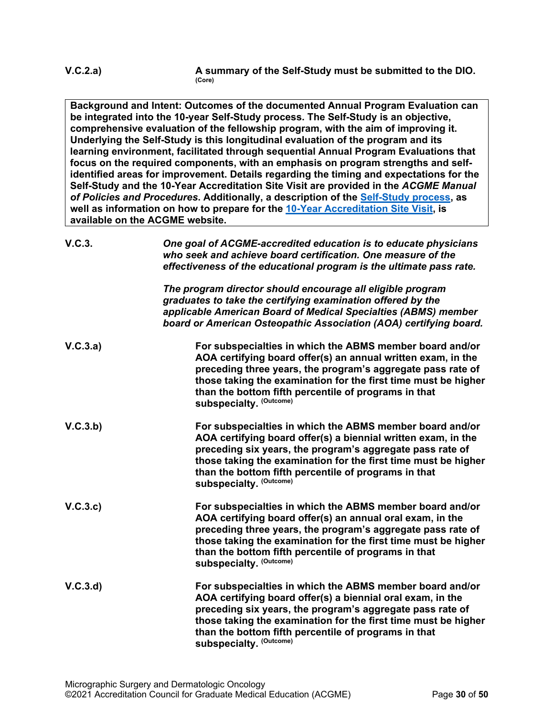**Background and Intent: Outcomes of the documented Annual Program Evaluation can be integrated into the 10-year Self-Study process. The Self-Study is an objective, comprehensive evaluation of the fellowship program, with the aim of improving it. Underlying the Self-Study is this longitudinal evaluation of the program and its learning environment, facilitated through sequential Annual Program Evaluations that focus on the required components, with an emphasis on program strengths and selfidentified areas for improvement. Details regarding the timing and expectations for the Self-Study and the 10-Year Accreditation Site Visit are provided in the** *ACGME Manual of Policies and Procedures***. Additionally, a description of the [Self-Study process,](http://acgme.org/What-We-Do/Accreditation/Self-Study) as well as information on how to prepare for the [10-Year Accreditation Site Visit,](http://www.acgme.org/What-We-Do/Accreditation/Site-Visit/Eight-Steps-to-Prepare-for-the-10-Year-Accreditation-Site-Visit) is available on the ACGME website.**

| V.C.3.   | One goal of ACGME-accredited education is to educate physicians<br>who seek and achieve board certification. One measure of the<br>effectiveness of the educational program is the ultimate pass rate.                                                                                                                                       |
|----------|----------------------------------------------------------------------------------------------------------------------------------------------------------------------------------------------------------------------------------------------------------------------------------------------------------------------------------------------|
|          | The program director should encourage all eligible program<br>graduates to take the certifying examination offered by the<br>applicable American Board of Medical Specialties (ABMS) member<br>board or American Osteopathic Association (AOA) certifying board.                                                                             |
| V.C.3.a) | For subspecialties in which the ABMS member board and/or<br>AOA certifying board offer(s) an annual written exam, in the<br>preceding three years, the program's aggregate pass rate of<br>those taking the examination for the first time must be higher<br>than the bottom fifth percentile of programs in that<br>subspecialty. (Outcome) |
| V.C.3.b) | For subspecialties in which the ABMS member board and/or<br>AOA certifying board offer(s) a biennial written exam, in the<br>preceding six years, the program's aggregate pass rate of<br>those taking the examination for the first time must be higher<br>than the bottom fifth percentile of programs in that<br>subspecialty. (Outcome)  |
| V.C.3.c  | For subspecialties in which the ABMS member board and/or<br>AOA certifying board offer(s) an annual oral exam, in the<br>preceding three years, the program's aggregate pass rate of<br>those taking the examination for the first time must be higher<br>than the bottom fifth percentile of programs in that<br>subspecialty. (Outcome)    |
| V.C.3.d  | For subspecialties in which the ABMS member board and/or<br>AOA certifying board offer(s) a biennial oral exam, in the<br>preceding six years, the program's aggregate pass rate of<br>those taking the examination for the first time must be higher<br>than the bottom fifth percentile of programs in that<br>subspecialty. (Outcome)     |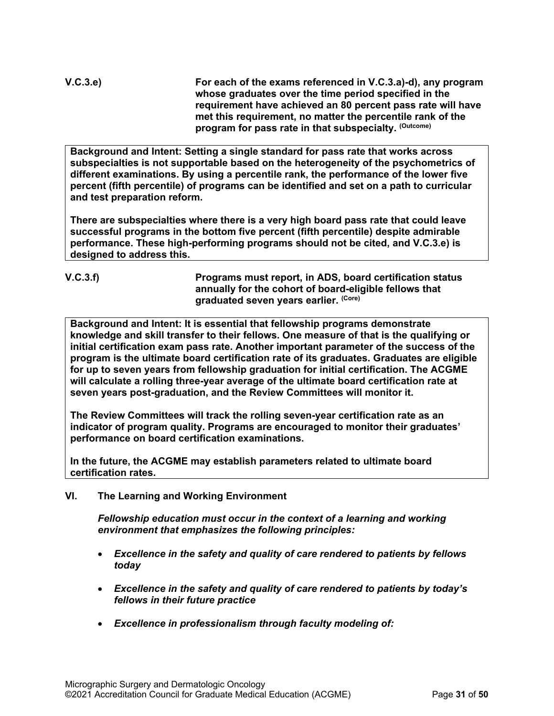**V.C.3.e) For each of the exams referenced in V.C.3.a)-d), any program whose graduates over the time period specified in the requirement have achieved an 80 percent pass rate will have met this requirement, no matter the percentile rank of the program for pass rate in that subspecialty. (Outcome)**

**Background and Intent: Setting a single standard for pass rate that works across subspecialties is not supportable based on the heterogeneity of the psychometrics of different examinations. By using a percentile rank, the performance of the lower five percent (fifth percentile) of programs can be identified and set on a path to curricular and test preparation reform.**

**There are subspecialties where there is a very high board pass rate that could leave successful programs in the bottom five percent (fifth percentile) despite admirable performance. These high-performing programs should not be cited, and V.C.3.e) is designed to address this.**

#### **V.C.3.f) Programs must report, in ADS, board certification status annually for the cohort of board-eligible fellows that graduated seven years earlier. (Core)**

**Background and Intent: It is essential that fellowship programs demonstrate knowledge and skill transfer to their fellows. One measure of that is the qualifying or initial certification exam pass rate. Another important parameter of the success of the program is the ultimate board certification rate of its graduates. Graduates are eligible for up to seven years from fellowship graduation for initial certification. The ACGME will calculate a rolling three-year average of the ultimate board certification rate at seven years post-graduation, and the Review Committees will monitor it.**

**The Review Committees will track the rolling seven-year certification rate as an indicator of program quality. Programs are encouraged to monitor their graduates' performance on board certification examinations.**

**In the future, the ACGME may establish parameters related to ultimate board certification rates.**

<span id="page-30-0"></span>**VI. The Learning and Working Environment**

*Fellowship education must occur in the context of a learning and working environment that emphasizes the following principles:*

- *Excellence in the safety and quality of care rendered to patients by fellows today*
- *Excellence in the safety and quality of care rendered to patients by today's fellows in their future practice*
- *Excellence in professionalism through faculty modeling of:*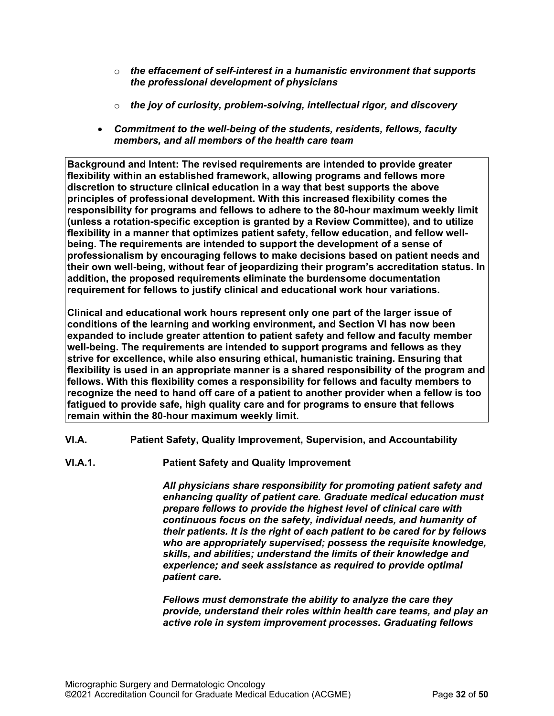- o *the effacement of self-interest in a humanistic environment that supports the professional development of physicians*
- o *the joy of curiosity, problem-solving, intellectual rigor, and discovery*
- *Commitment to the well-being of the students, residents, fellows, faculty members, and all members of the health care team*

**Background and Intent: The revised requirements are intended to provide greater flexibility within an established framework, allowing programs and fellows more discretion to structure clinical education in a way that best supports the above principles of professional development. With this increased flexibility comes the responsibility for programs and fellows to adhere to the 80-hour maximum weekly limit (unless a rotation-specific exception is granted by a Review Committee), and to utilize flexibility in a manner that optimizes patient safety, fellow education, and fellow wellbeing. The requirements are intended to support the development of a sense of professionalism by encouraging fellows to make decisions based on patient needs and their own well-being, without fear of jeopardizing their program's accreditation status. In addition, the proposed requirements eliminate the burdensome documentation requirement for fellows to justify clinical and educational work hour variations.**

**Clinical and educational work hours represent only one part of the larger issue of conditions of the learning and working environment, and Section VI has now been expanded to include greater attention to patient safety and fellow and faculty member well-being. The requirements are intended to support programs and fellows as they strive for excellence, while also ensuring ethical, humanistic training. Ensuring that flexibility is used in an appropriate manner is a shared responsibility of the program and fellows. With this flexibility comes a responsibility for fellows and faculty members to recognize the need to hand off care of a patient to another provider when a fellow is too fatigued to provide safe, high quality care and for programs to ensure that fellows remain within the 80-hour maximum weekly limit.**

- <span id="page-31-0"></span>**VI.A. Patient Safety, Quality Improvement, Supervision, and Accountability**
- **VI.A.1. Patient Safety and Quality Improvement**

*All physicians share responsibility for promoting patient safety and enhancing quality of patient care. Graduate medical education must prepare fellows to provide the highest level of clinical care with continuous focus on the safety, individual needs, and humanity of their patients. It is the right of each patient to be cared for by fellows who are appropriately supervised; possess the requisite knowledge, skills, and abilities; understand the limits of their knowledge and experience; and seek assistance as required to provide optimal patient care.*

*Fellows must demonstrate the ability to analyze the care they provide, understand their roles within health care teams, and play an active role in system improvement processes. Graduating fellows*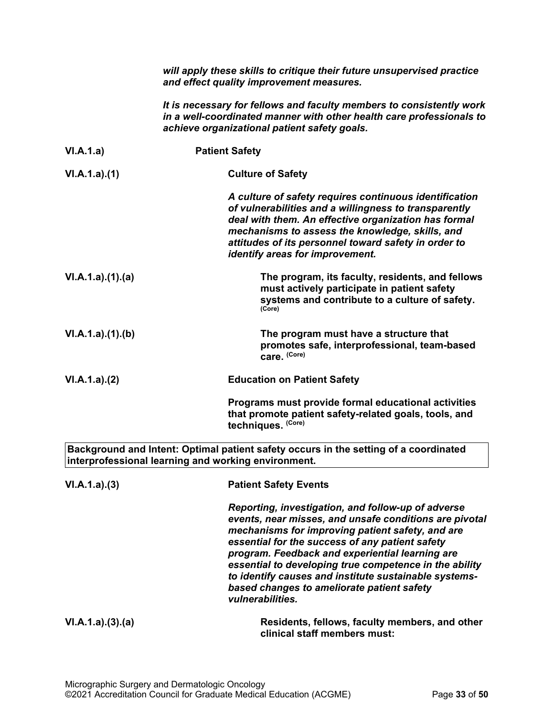|                 | will apply these skills to critique their future unsupervised practice<br>and effect quality improvement measures.                                                                                                                                                                                                                                                                                                                                          |
|-----------------|-------------------------------------------------------------------------------------------------------------------------------------------------------------------------------------------------------------------------------------------------------------------------------------------------------------------------------------------------------------------------------------------------------------------------------------------------------------|
|                 | It is necessary for fellows and faculty members to consistently work<br>in a well-coordinated manner with other health care professionals to<br>achieve organizational patient safety goals.                                                                                                                                                                                                                                                                |
| VI.A.1.a)       | <b>Patient Safety</b>                                                                                                                                                                                                                                                                                                                                                                                                                                       |
| VI.A.1.a)(1)    | <b>Culture of Safety</b>                                                                                                                                                                                                                                                                                                                                                                                                                                    |
|                 | A culture of safety requires continuous identification<br>of vulnerabilities and a willingness to transparently<br>deal with them. An effective organization has formal<br>mechanisms to assess the knowledge, skills, and<br>attitudes of its personnel toward safety in order to<br>identify areas for improvement.                                                                                                                                       |
| VI.A.1.a)(1)(a) | The program, its faculty, residents, and fellows<br>must actively participate in patient safety<br>systems and contribute to a culture of safety.<br>(Core)                                                                                                                                                                                                                                                                                                 |
| VI.A.1.a)(1)(b) | The program must have a structure that<br>promotes safe, interprofessional, team-based<br>care. (Core)                                                                                                                                                                                                                                                                                                                                                      |
| VI.A.1.a)(2)    | <b>Education on Patient Safety</b>                                                                                                                                                                                                                                                                                                                                                                                                                          |
|                 | Programs must provide formal educational activities<br>that promote patient safety-related goals, tools, and<br>techniques. (Core)                                                                                                                                                                                                                                                                                                                          |
|                 | Background and Intent: Optimal patient safety occurs in the setting of a coordinated<br>interprofessional learning and working environment.                                                                                                                                                                                                                                                                                                                 |
| VI.A.1.a)(3)    | <b>Patient Safety Events</b>                                                                                                                                                                                                                                                                                                                                                                                                                                |
|                 | Reporting, investigation, and follow-up of adverse<br>events, near misses, and unsafe conditions are pivotal<br>mechanisms for improving patient safety, and are<br>essential for the success of any patient safety<br>program. Feedback and experiential learning are<br>essential to developing true competence in the ability<br>to identify causes and institute sustainable systems-<br>based changes to ameliorate patient safety<br>vulnerabilities. |
| VI.A.1.a)(3)(a) | Residents, fellows, faculty members, and other<br>clinical staff members must:                                                                                                                                                                                                                                                                                                                                                                              |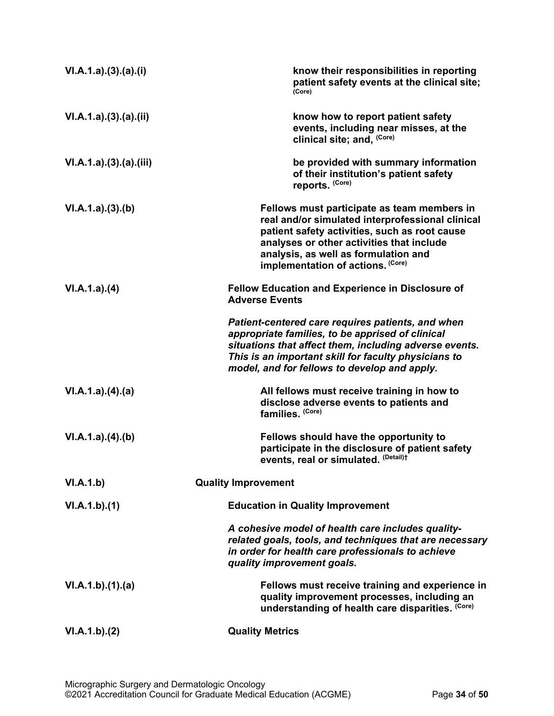| VI.A.1.a)(3)(a)(i)    | know their responsibilities in reporting<br>patient safety events at the clinical site;<br>(Core)                                                                                                                                                                          |
|-----------------------|----------------------------------------------------------------------------------------------------------------------------------------------------------------------------------------------------------------------------------------------------------------------------|
| VI.A.1.a)(3).(a).(ii) | know how to report patient safety<br>events, including near misses, at the<br>clinical site; and, (Core)                                                                                                                                                                   |
| VI.A.1.a)(3)(a)(iii)  | be provided with summary information<br>of their institution's patient safety<br>reports. (Core)                                                                                                                                                                           |
| VI.A.1.a)(3)(b)       | Fellows must participate as team members in<br>real and/or simulated interprofessional clinical<br>patient safety activities, such as root cause<br>analyses or other activities that include<br>analysis, as well as formulation and<br>implementation of actions. (Core) |
| VI.A.1.a)(4)          | Fellow Education and Experience in Disclosure of<br><b>Adverse Events</b>                                                                                                                                                                                                  |
|                       | Patient-centered care requires patients, and when<br>appropriate families, to be apprised of clinical<br>situations that affect them, including adverse events.<br>This is an important skill for faculty physicians to<br>model, and for fellows to develop and apply.    |
| VI.A.1.a)(4)(a)       | All fellows must receive training in how to<br>disclose adverse events to patients and<br>families. (Core)                                                                                                                                                                 |
| VI.A.1.a)(4)(b)       | Fellows should have the opportunity to<br>participate in the disclosure of patient safety<br>events, real or simulated. (Detail)t                                                                                                                                          |
| VI.A.1.b)             | <b>Quality Improvement</b>                                                                                                                                                                                                                                                 |
| VI.A.1.b)(1)          | <b>Education in Quality Improvement</b>                                                                                                                                                                                                                                    |
|                       | A cohesive model of health care includes quality-<br>related goals, tools, and techniques that are necessary<br>in order for health care professionals to achieve<br>quality improvement goals.                                                                            |
| VI.A.1.b)(1)(a)       | Fellows must receive training and experience in<br>quality improvement processes, including an<br>understanding of health care disparities. (Core)                                                                                                                         |
| VI.A.1.b)(2)          | <b>Quality Metrics</b>                                                                                                                                                                                                                                                     |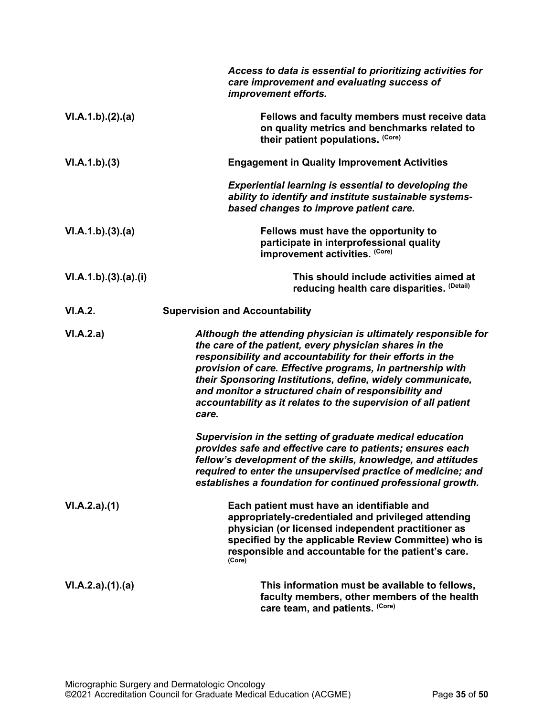|                    | Access to data is essential to prioritizing activities for<br>care improvement and evaluating success of<br>improvement efforts.                                                                                                                                                                                                                                                                                                                      |
|--------------------|-------------------------------------------------------------------------------------------------------------------------------------------------------------------------------------------------------------------------------------------------------------------------------------------------------------------------------------------------------------------------------------------------------------------------------------------------------|
| VI.A.1.b)(2).(a)   | Fellows and faculty members must receive data<br>on quality metrics and benchmarks related to<br>their patient populations. (Core)                                                                                                                                                                                                                                                                                                                    |
| VI.A.1.b)(3)       | <b>Engagement in Quality Improvement Activities</b>                                                                                                                                                                                                                                                                                                                                                                                                   |
|                    | <b>Experiential learning is essential to developing the</b><br>ability to identify and institute sustainable systems-<br>based changes to improve patient care.                                                                                                                                                                                                                                                                                       |
| VI.A.1.b)(3).(a)   | Fellows must have the opportunity to<br>participate in interprofessional quality<br>improvement activities. (Core)                                                                                                                                                                                                                                                                                                                                    |
| VI.A.1.b)(3)(a)(i) | This should include activities aimed at<br>reducing health care disparities. (Detail)                                                                                                                                                                                                                                                                                                                                                                 |
| VI.A.2.            | <b>Supervision and Accountability</b>                                                                                                                                                                                                                                                                                                                                                                                                                 |
| VI.A.2.a)          | Although the attending physician is ultimately responsible for<br>the care of the patient, every physician shares in the<br>responsibility and accountability for their efforts in the<br>provision of care. Effective programs, in partnership with<br>their Sponsoring Institutions, define, widely communicate,<br>and monitor a structured chain of responsibility and<br>accountability as it relates to the supervision of all patient<br>care. |
|                    | Supervision in the setting of graduate medical education<br>provides safe and effective care to patients; ensures each<br>fellow's development of the skills, knowledge, and attitudes<br>required to enter the unsupervised practice of medicine; and<br>establishes a foundation for continued professional growth.                                                                                                                                 |
| VI.A.2.a)(1)       | Each patient must have an identifiable and<br>appropriately-credentialed and privileged attending<br>physician (or licensed independent practitioner as<br>specified by the applicable Review Committee) who is<br>responsible and accountable for the patient's care.<br>(Core)                                                                                                                                                                      |
| VI.A.2.a)(1).(a)   | This information must be available to fellows,<br>faculty members, other members of the health<br>care team, and patients. (Core)                                                                                                                                                                                                                                                                                                                     |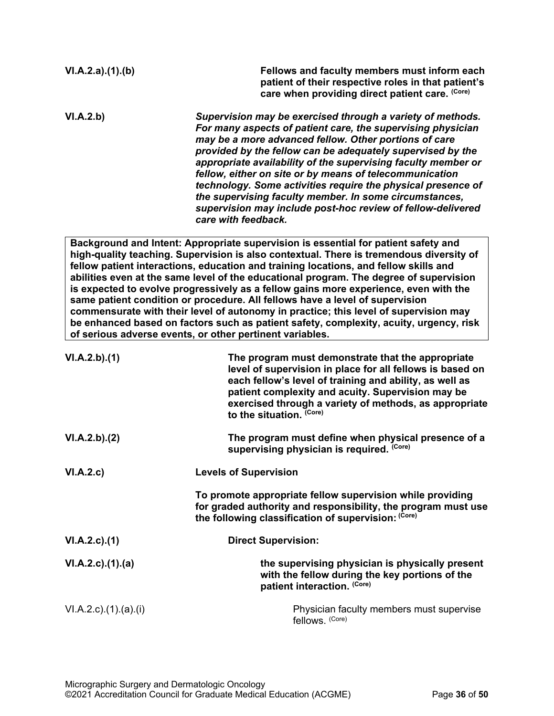| VI.A.2.a)(1)(b)           | Fellows and faculty members must inform each<br>patient of their respective roles in that patient's<br>care when providing direct patient care. (Core)                                                                                                                                                                                                                                                                                                                                                                                                                                                                                                                                                                                                                                |
|---------------------------|---------------------------------------------------------------------------------------------------------------------------------------------------------------------------------------------------------------------------------------------------------------------------------------------------------------------------------------------------------------------------------------------------------------------------------------------------------------------------------------------------------------------------------------------------------------------------------------------------------------------------------------------------------------------------------------------------------------------------------------------------------------------------------------|
| VI.A.2.b)                 | Supervision may be exercised through a variety of methods.<br>For many aspects of patient care, the supervising physician<br>may be a more advanced fellow. Other portions of care<br>provided by the fellow can be adequately supervised by the<br>appropriate availability of the supervising faculty member or<br>fellow, either on site or by means of telecommunication<br>technology. Some activities require the physical presence of<br>the supervising faculty member. In some circumstances,<br>supervision may include post-hoc review of fellow-delivered<br>care with feedback.                                                                                                                                                                                          |
|                           | Background and Intent: Appropriate supervision is essential for patient safety and<br>high-quality teaching. Supervision is also contextual. There is tremendous diversity of<br>fellow patient interactions, education and training locations, and fellow skills and<br>abilities even at the same level of the educational program. The degree of supervision<br>is expected to evolve progressively as a fellow gains more experience, even with the<br>same patient condition or procedure. All fellows have a level of supervision<br>commensurate with their level of autonomy in practice; this level of supervision may<br>be enhanced based on factors such as patient safety, complexity, acuity, urgency, risk<br>of serious adverse events, or other pertinent variables. |
| VI.A.2.b)(1)              | The program must demonstrate that the appropriate<br>level of supervision in place for all fellows is based on<br>each fellow's level of training and ability, as well as<br>patient complexity and acuity. Supervision may be<br>exercised through a variety of methods, as appropriate<br>to the situation. (Core)                                                                                                                                                                                                                                                                                                                                                                                                                                                                  |
| VI.A.2.b).(2)             | The program must define when physical presence of a<br>supervising physician is required. (Core)                                                                                                                                                                                                                                                                                                                                                                                                                                                                                                                                                                                                                                                                                      |
| VI.A.2.c)                 | <b>Levels of Supervision</b>                                                                                                                                                                                                                                                                                                                                                                                                                                                                                                                                                                                                                                                                                                                                                          |
|                           | To promote appropriate fellow supervision while providing<br>for graded authority and responsibility, the program must use<br>the following classification of supervision: (Core)                                                                                                                                                                                                                                                                                                                                                                                                                                                                                                                                                                                                     |
| VI.A.2.c.(1)              | <b>Direct Supervision:</b>                                                                                                                                                                                                                                                                                                                                                                                                                                                                                                                                                                                                                                                                                                                                                            |
| $VI.A.2.c$ . $(1).$ $(a)$ | the supervising physician is physically present<br>with the fellow during the key portions of the<br>patient interaction. (Core)                                                                                                                                                                                                                                                                                                                                                                                                                                                                                                                                                                                                                                                      |
| VI.A.2.c)(1).(a)(i)       | Physician faculty members must supervise<br>fellows. (Core)                                                                                                                                                                                                                                                                                                                                                                                                                                                                                                                                                                                                                                                                                                                           |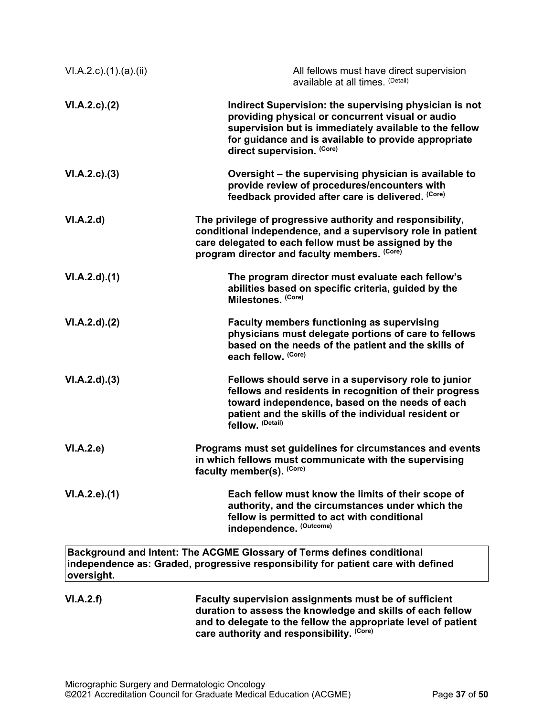| $VI.A.2.c$ . $(1).$ $(a).$ $(ii)$ | All fellows must have direct supervision<br>available at all times. (Detail)                                                                                                                                                                               |
|-----------------------------------|------------------------------------------------------------------------------------------------------------------------------------------------------------------------------------------------------------------------------------------------------------|
| $VI.A.2.c$ . $(2)$                | Indirect Supervision: the supervising physician is not<br>providing physical or concurrent visual or audio<br>supervision but is immediately available to the fellow<br>for guidance and is available to provide appropriate<br>direct supervision. (Core) |
| VI.A.2.c.3)                       | Oversight – the supervising physician is available to<br>provide review of procedures/encounters with<br>feedback provided after care is delivered. (Core)                                                                                                 |
| VI.A.2.d                          | The privilege of progressive authority and responsibility,<br>conditional independence, and a supervisory role in patient<br>care delegated to each fellow must be assigned by the<br>program director and faculty members. (Core)                         |
| VI.A.2.d)(1)                      | The program director must evaluate each fellow's<br>abilities based on specific criteria, guided by the<br>Milestones. (Core)                                                                                                                              |
| $VI.A.2.d$ $.(2)$                 | <b>Faculty members functioning as supervising</b><br>physicians must delegate portions of care to fellows<br>based on the needs of the patient and the skills of<br>each fellow. (Core)                                                                    |
| VI.A.2.d)(3)                      | Fellows should serve in a supervisory role to junior<br>fellows and residents in recognition of their progress<br>toward independence, based on the needs of each<br>patient and the skills of the individual resident or<br>fellow. (Detail)              |
| VI.A.2.e)                         | Programs must set guidelines for circumstances and events<br>in which fellows must communicate with the supervising<br>faculty member(s). (Core)                                                                                                           |
| VI.A.2.e.(1)                      | Each fellow must know the limits of their scope of<br>authority, and the circumstances under which the<br>fellow is permitted to act with conditional<br>independence. (Outcome)                                                                           |
| oversight.                        | Background and Intent: The ACGME Glossary of Terms defines conditional<br>independence as: Graded, progressive responsibility for patient care with defined                                                                                                |
| VI.A.2.f)                         | Faculty supervision assignments must be of sufficient<br>duration to assess the knowledge and skills of each fellow<br>and to delegate to the fellow the appropriate level of patient<br>care authority and responsibility. (Core)                         |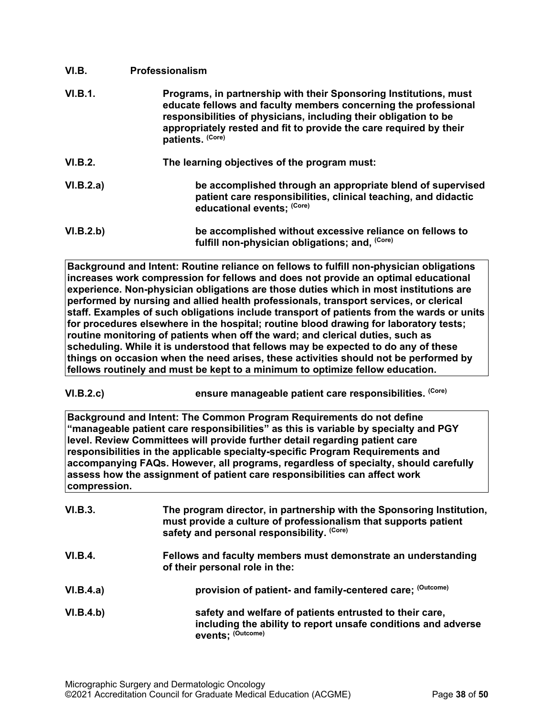<span id="page-37-0"></span>

| VI.B.          | <b>Professionalism</b>                                                                                                                                                                                                                                                                             |
|----------------|----------------------------------------------------------------------------------------------------------------------------------------------------------------------------------------------------------------------------------------------------------------------------------------------------|
| <b>VI.B.1.</b> | Programs, in partnership with their Sponsoring Institutions, must<br>educate fellows and faculty members concerning the professional<br>responsibilities of physicians, including their obligation to be<br>appropriately rested and fit to provide the care required by their<br>patients. (Core) |
| VI.B.2.        | The learning objectives of the program must:                                                                                                                                                                                                                                                       |
| VI.B.2.a)      | be accomplished through an appropriate blend of supervised<br>patient care responsibilities, clinical teaching, and didactic<br>educational events; (Core)                                                                                                                                         |
| VI.B.2.b)      | be accomplished without excessive reliance on fellows to<br>fulfill non-physician obligations; and, (Core)                                                                                                                                                                                         |

**Background and Intent: Routine reliance on fellows to fulfill non-physician obligations increases work compression for fellows and does not provide an optimal educational experience. Non-physician obligations are those duties which in most institutions are performed by nursing and allied health professionals, transport services, or clerical staff. Examples of such obligations include transport of patients from the wards or units for procedures elsewhere in the hospital; routine blood drawing for laboratory tests; routine monitoring of patients when off the ward; and clerical duties, such as scheduling. While it is understood that fellows may be expected to do any of these things on occasion when the need arises, these activities should not be performed by fellows routinely and must be kept to a minimum to optimize fellow education.**

**VI.B.2.c) ensure manageable patient care responsibilities. (Core)**

**Background and Intent: The Common Program Requirements do not define "manageable patient care responsibilities" as this is variable by specialty and PGY level. Review Committees will provide further detail regarding patient care responsibilities in the applicable specialty-specific Program Requirements and accompanying FAQs. However, all programs, regardless of specialty, should carefully assess how the assignment of patient care responsibilities can affect work compression.**

| VI.B.3.   | The program director, in partnership with the Sponsoring Institution,<br>must provide a culture of professionalism that supports patient<br>safety and personal responsibility. (Core) |
|-----------|----------------------------------------------------------------------------------------------------------------------------------------------------------------------------------------|
| VI.B.4.   | Fellows and faculty members must demonstrate an understanding<br>of their personal role in the:                                                                                        |
| VI.B.4.a) | provision of patient- and family-centered care; (Outcome)                                                                                                                              |
| VI.B.4.b) | safety and welfare of patients entrusted to their care,<br>including the ability to report unsafe conditions and adverse<br>events: (Outcome)                                          |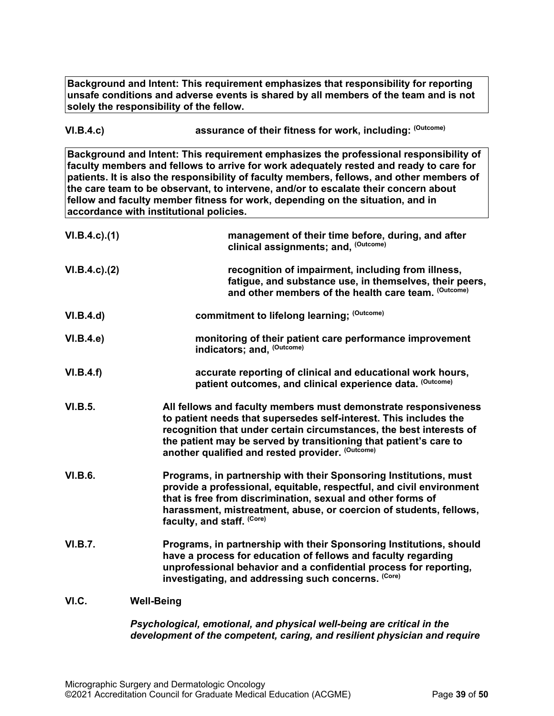**Background and Intent: This requirement emphasizes that responsibility for reporting unsafe conditions and adverse events is shared by all members of the team and is not solely the responsibility of the fellow.**

**VI.B.4.c) assurance of their fitness for work, including: (Outcome)**

**Background and Intent: This requirement emphasizes the professional responsibility of faculty members and fellows to arrive for work adequately rested and ready to care for patients. It is also the responsibility of faculty members, fellows, and other members of the care team to be observant, to intervene, and/or to escalate their concern about fellow and faculty member fitness for work, depending on the situation, and in accordance with institutional policies.**

| $VI.B.4.c$ ). $(1)$ | management of their time before, during, and after<br>clinical assignments; and, (Outcome)                                                                                                                                                                                                                                           |
|---------------------|--------------------------------------------------------------------------------------------------------------------------------------------------------------------------------------------------------------------------------------------------------------------------------------------------------------------------------------|
| $VI.B.4.c$ ). $(2)$ | recognition of impairment, including from illness,<br>fatigue, and substance use, in themselves, their peers,<br>and other members of the health care team. (Outcome)                                                                                                                                                                |
| VI.B.4.d)           | commitment to lifelong learning; (Outcome)                                                                                                                                                                                                                                                                                           |
| VI.B.4.e            | monitoring of their patient care performance improvement<br>indicators; and, (Outcome)                                                                                                                                                                                                                                               |
| VI.B.4.f)           | accurate reporting of clinical and educational work hours,<br>patient outcomes, and clinical experience data. (Outcome)                                                                                                                                                                                                              |
| VI.B.5.             | All fellows and faculty members must demonstrate responsiveness<br>to patient needs that supersedes self-interest. This includes the<br>recognition that under certain circumstances, the best interests of<br>the patient may be served by transitioning that patient's care to<br>another qualified and rested provider. (Outcome) |
| <b>VI.B.6.</b>      | Programs, in partnership with their Sponsoring Institutions, must<br>provide a professional, equitable, respectful, and civil environment<br>that is free from discrimination, sexual and other forms of<br>harassment, mistreatment, abuse, or coercion of students, fellows,<br>faculty, and staff. (Core)                         |
| <b>VI.B.7.</b>      | Programs, in partnership with their Sponsoring Institutions, should<br>have a process for education of fellows and faculty regarding<br>unprofessional behavior and a confidential process for reporting,<br>investigating, and addressing such concerns. (Core)                                                                     |
| VI.C.               | <b>Well-Being</b>                                                                                                                                                                                                                                                                                                                    |

<span id="page-38-0"></span>*Psychological, emotional, and physical well-being are critical in the development of the competent, caring, and resilient physician and require*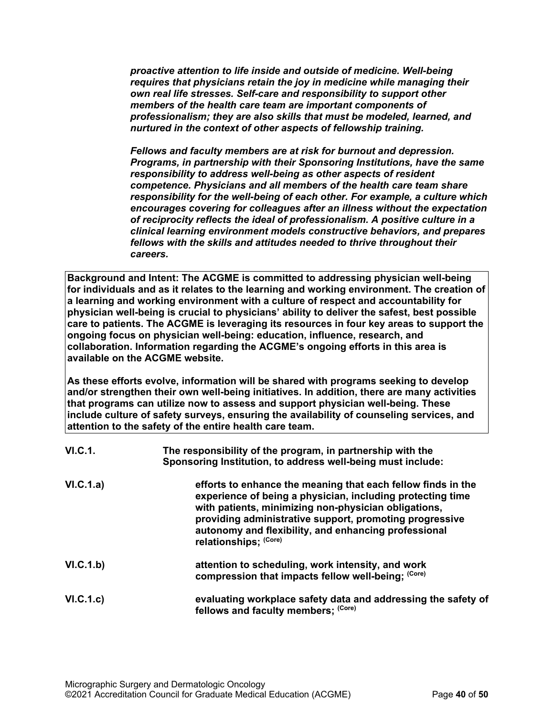*proactive attention to life inside and outside of medicine. Well-being requires that physicians retain the joy in medicine while managing their own real life stresses. Self-care and responsibility to support other members of the health care team are important components of professionalism; they are also skills that must be modeled, learned, and nurtured in the context of other aspects of fellowship training.*

*Fellows and faculty members are at risk for burnout and depression. Programs, in partnership with their Sponsoring Institutions, have the same responsibility to address well-being as other aspects of resident competence. Physicians and all members of the health care team share responsibility for the well-being of each other. For example, a culture which encourages covering for colleagues after an illness without the expectation of reciprocity reflects the ideal of professionalism. A positive culture in a clinical learning environment models constructive behaviors, and prepares fellows with the skills and attitudes needed to thrive throughout their careers.*

**Background and Intent: The ACGME is committed to addressing physician well-being for individuals and as it relates to the learning and working environment. The creation of a learning and working environment with a culture of respect and accountability for physician well-being is crucial to physicians' ability to deliver the safest, best possible care to patients. The ACGME is leveraging its resources in four key areas to support the ongoing focus on physician well-being: education, influence, research, and collaboration. Information regarding the ACGME's ongoing efforts in this area is available on the ACGME website.**

**As these efforts evolve, information will be shared with programs seeking to develop and/or strengthen their own well-being initiatives. In addition, there are many activities that programs can utilize now to assess and support physician well-being. These include culture of safety surveys, ensuring the availability of counseling services, and attention to the safety of the entire health care team.**

| <b>VI.C.1.</b> | The responsibility of the program, in partnership with the<br>Sponsoring Institution, to address well-being must include:                                                                                                                                                                                                      |
|----------------|--------------------------------------------------------------------------------------------------------------------------------------------------------------------------------------------------------------------------------------------------------------------------------------------------------------------------------|
| VI.C.1.a)      | efforts to enhance the meaning that each fellow finds in the<br>experience of being a physician, including protecting time<br>with patients, minimizing non-physician obligations,<br>providing administrative support, promoting progressive<br>autonomy and flexibility, and enhancing professional<br>relationships: (Core) |
| VI.C.1.b)      | attention to scheduling, work intensity, and work<br>compression that impacts fellow well-being; (Core)                                                                                                                                                                                                                        |
| VI.C.1.c)      | evaluating workplace safety data and addressing the safety of<br>fellows and faculty members; (Core)                                                                                                                                                                                                                           |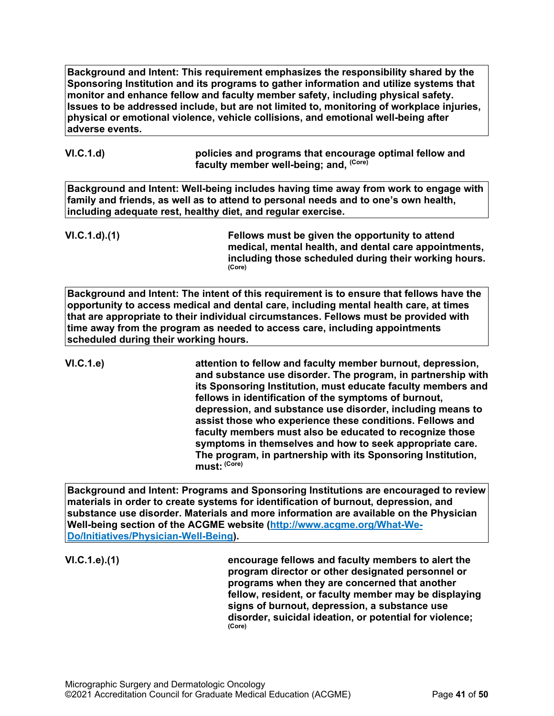**Background and Intent: This requirement emphasizes the responsibility shared by the Sponsoring Institution and its programs to gather information and utilize systems that monitor and enhance fellow and faculty member safety, including physical safety. Issues to be addressed include, but are not limited to, monitoring of workplace injuries, physical or emotional violence, vehicle collisions, and emotional well-being after adverse events.**

**VI.C.1.d) policies and programs that encourage optimal fellow and faculty member well-being; and, (Core)**

**Background and Intent: Well-being includes having time away from work to engage with family and friends, as well as to attend to personal needs and to one's own health, including adequate rest, healthy diet, and regular exercise.**

**VI.C.1.d).(1) Fellows must be given the opportunity to attend medical, mental health, and dental care appointments, including those scheduled during their working hours. (Core)**

**Background and Intent: The intent of this requirement is to ensure that fellows have the opportunity to access medical and dental care, including mental health care, at times that are appropriate to their individual circumstances. Fellows must be provided with time away from the program as needed to access care, including appointments scheduled during their working hours.**

**VI.C.1.e) attention to fellow and faculty member burnout, depression, and substance use disorder. The program, in partnership with its Sponsoring Institution, must educate faculty members and fellows in identification of the symptoms of burnout, depression, and substance use disorder, including means to assist those who experience these conditions. Fellows and faculty members must also be educated to recognize those symptoms in themselves and how to seek appropriate care. The program, in partnership with its Sponsoring Institution, must: (Core)**

**Background and Intent: Programs and Sponsoring Institutions are encouraged to review materials in order to create systems for identification of burnout, depression, and substance use disorder. Materials and more information are available on the Physician Well-being section of the ACGME website [\(http://www.acgme.org/What-We-](http://www.acgme.org/What-We-Do/Initiatives/Physician-Well-Being)[Do/Initiatives/Physician-Well-Being\)](http://www.acgme.org/What-We-Do/Initiatives/Physician-Well-Being).**

**VI.C.1.e).(1) encourage fellows and faculty members to alert the program director or other designated personnel or programs when they are concerned that another fellow, resident, or faculty member may be displaying signs of burnout, depression, a substance use disorder, suicidal ideation, or potential for violence; (Core)**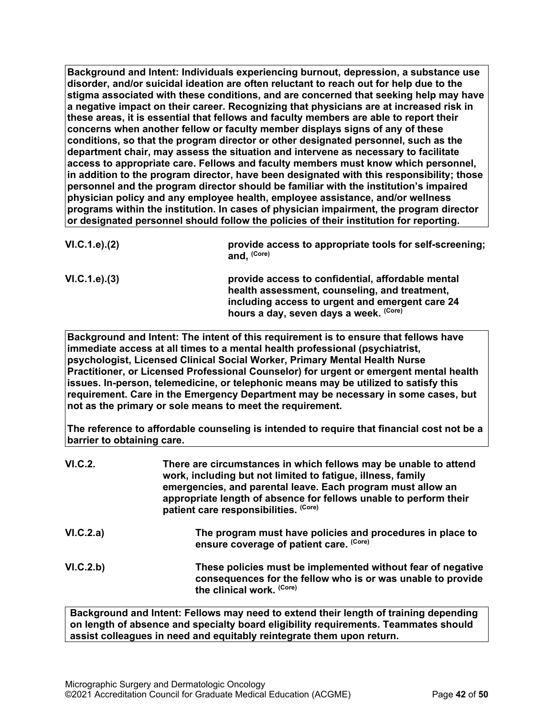**Background and Intent: Individuals experiencing burnout, depression, a substance use disorder, and/or suicidal ideation are often reluctant to reach out for help due to the stigma associated with these conditions, and are concerned that seeking help may have a negative impact on their career. Recognizing that physicians are at increased risk in these areas, it is essential that fellows and faculty members are able to report their concerns when another fellow or faculty member displays signs of any of these conditions, so that the program director or other designated personnel, such as the department chair, may assess the situation and intervene as necessary to facilitate access to appropriate care. Fellows and faculty members must know which personnel, in addition to the program director, have been designated with this responsibility; those personnel and the program director should be familiar with the institution's impaired physician policy and any employee health, employee assistance, and/or wellness programs within the institution. In cases of physician impairment, the program director or designated personnel should follow the policies of their institution for reporting.**

| VI.C.1.e). (2) | provide access to appropriate tools for self-screening;<br>and, (Core)                                                                                |
|----------------|-------------------------------------------------------------------------------------------------------------------------------------------------------|
| VI.C.1.e). (3) | provide access to confidential, affordable mental<br>health assessment, counseling, and treatment,<br>including access to urgent and emergent care 24 |
|                | hours a day, seven days a week. (Core)                                                                                                                |

**Background and Intent: The intent of this requirement is to ensure that fellows have immediate access at all times to a mental health professional (psychiatrist, psychologist, Licensed Clinical Social Worker, Primary Mental Health Nurse Practitioner, or Licensed Professional Counselor) for urgent or emergent mental health issues. In-person, telemedicine, or telephonic means may be utilized to satisfy this requirement. Care in the Emergency Department may be necessary in some cases, but not as the primary or sole means to meet the requirement.**

**The reference to affordable counseling is intended to require that financial cost not be a barrier to obtaining care.**

| VI.C.2.   | There are circumstances in which fellows may be unable to attend<br>work, including but not limited to fatigue, illness, family<br>emergencies, and parental leave. Each program must allow an<br>appropriate length of absence for fellows unable to perform their<br>patient care responsibilities. (Core) |
|-----------|--------------------------------------------------------------------------------------------------------------------------------------------------------------------------------------------------------------------------------------------------------------------------------------------------------------|
| VI.C.2.a) | The program must have policies and procedures in place to<br>ensure coverage of patient care. (Core)                                                                                                                                                                                                         |
| VI.C.2.b) | These policies must be implemented without fear of negative<br>consequences for the fellow who is or was unable to provide<br>the clinical work. (Core)                                                                                                                                                      |

**Background and Intent: Fellows may need to extend their length of training depending on length of absence and specialty board eligibility requirements. Teammates should assist colleagues in need and equitably reintegrate them upon return.**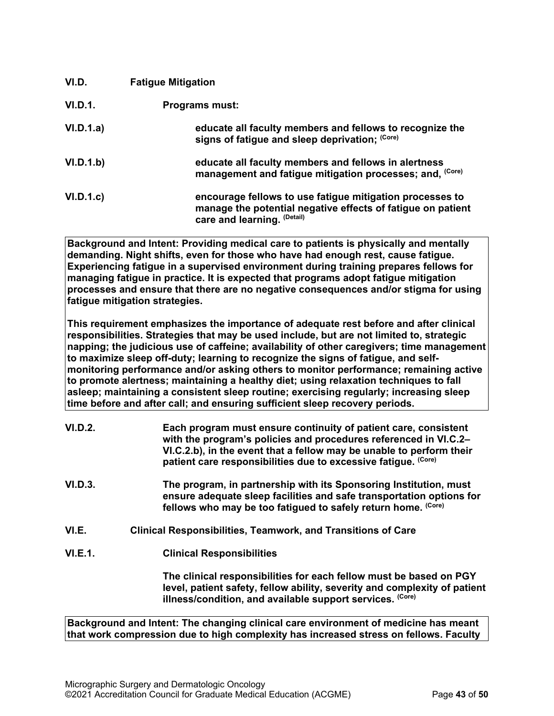<span id="page-42-0"></span>

| VI.D.     | <b>Fatigue Mitigation</b>                                                                                                                              |
|-----------|--------------------------------------------------------------------------------------------------------------------------------------------------------|
| VI.D.1.   | <b>Programs must:</b>                                                                                                                                  |
| VI.D.1.a) | educate all faculty members and fellows to recognize the<br>signs of fatigue and sleep deprivation; (Core)                                             |
| VI.D.1.b) | educate all faculty members and fellows in alertness<br>management and fatigue mitigation processes; and, (Core)                                       |
| VI.D.1.c  | encourage fellows to use fatigue mitigation processes to<br>manage the potential negative effects of fatigue on patient<br>care and learning. (Detail) |

**Background and Intent: Providing medical care to patients is physically and mentally demanding. Night shifts, even for those who have had enough rest, cause fatigue. Experiencing fatigue in a supervised environment during training prepares fellows for managing fatigue in practice. It is expected that programs adopt fatigue mitigation processes and ensure that there are no negative consequences and/or stigma for using fatigue mitigation strategies.**

**This requirement emphasizes the importance of adequate rest before and after clinical responsibilities. Strategies that may be used include, but are not limited to, strategic napping; the judicious use of caffeine; availability of other caregivers; time management to maximize sleep off-duty; learning to recognize the signs of fatigue, and selfmonitoring performance and/or asking others to monitor performance; remaining active to promote alertness; maintaining a healthy diet; using relaxation techniques to fall asleep; maintaining a consistent sleep routine; exercising regularly; increasing sleep time before and after call; and ensuring sufficient sleep recovery periods.**

| VI.D.2. | Each program must ensure continuity of patient care, consistent<br>with the program's policies and procedures referenced in VI.C.2-<br>VI.C.2.b), in the event that a fellow may be unable to perform their<br>patient care responsibilities due to excessive fatique. (Core) |
|---------|-------------------------------------------------------------------------------------------------------------------------------------------------------------------------------------------------------------------------------------------------------------------------------|
| VI.D.3. | The program, in partnership with its Sponsoring Institution, must<br>ensure adequate sleep facilities and safe transportation options for<br>fellows who may be too fatigued to safely return home. (Core)                                                                    |
| VI.E.   | <b>Clinical Responsibilities, Teamwork, and Transitions of Care</b>                                                                                                                                                                                                           |
| VI.E.1. | <b>Clinical Responsibilities</b>                                                                                                                                                                                                                                              |
|         | The clinical responsibilities for each fellow must be based on PGY<br>level, patient safety, fellow ability, severity and complexity of patient<br>illness/condition, and available support services. (Core)                                                                  |

<span id="page-42-1"></span>**Background and Intent: The changing clinical care environment of medicine has meant that work compression due to high complexity has increased stress on fellows. Faculty**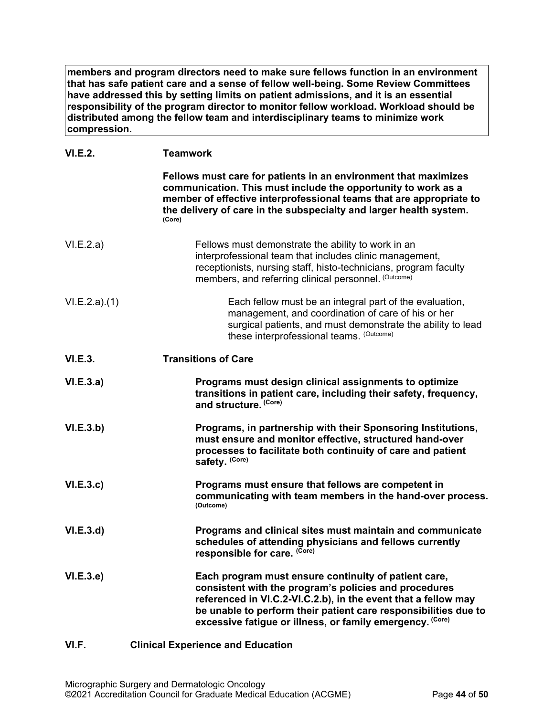**members and program directors need to make sure fellows function in an environment that has safe patient care and a sense of fellow well-being. Some Review Committees have addressed this by setting limits on patient admissions, and it is an essential responsibility of the program director to monitor fellow workload. Workload should be distributed among the fellow team and interdisciplinary teams to minimize work compression.**

# **VI.E.2. Teamwork**

<span id="page-43-0"></span>

|              | Fellows must care for patients in an environment that maximizes<br>communication. This must include the opportunity to work as a<br>member of effective interprofessional teams that are appropriate to<br>the delivery of care in the subspecialty and larger health system.<br>(Core)                         |
|--------------|-----------------------------------------------------------------------------------------------------------------------------------------------------------------------------------------------------------------------------------------------------------------------------------------------------------------|
| VI.E.2.a)    | Fellows must demonstrate the ability to work in an<br>interprofessional team that includes clinic management,<br>receptionists, nursing staff, histo-technicians, program faculty<br>members, and referring clinical personnel. (Outcome)                                                                       |
| VI.E.2.a)(1) | Each fellow must be an integral part of the evaluation,<br>management, and coordination of care of his or her<br>surgical patients, and must demonstrate the ability to lead<br>these interprofessional teams. (Outcome)                                                                                        |
| VI.E.3.      | <b>Transitions of Care</b>                                                                                                                                                                                                                                                                                      |
| VI.E.3.a)    | Programs must design clinical assignments to optimize<br>transitions in patient care, including their safety, frequency,<br>and structure. (Core)                                                                                                                                                               |
| VI.E.3.b)    | Programs, in partnership with their Sponsoring Institutions,<br>must ensure and monitor effective, structured hand-over<br>processes to facilitate both continuity of care and patient<br>safety. (Core)                                                                                                        |
| VI.E.3.c     | Programs must ensure that fellows are competent in<br>communicating with team members in the hand-over process.<br>(Outcome)                                                                                                                                                                                    |
| VI.E.3.d     | Programs and clinical sites must maintain and communicate<br>schedules of attending physicians and fellows currently<br>responsible for care. (Core)                                                                                                                                                            |
| VI.E.3.e     | Each program must ensure continuity of patient care,<br>consistent with the program's policies and procedures<br>referenced in VI.C.2-VI.C.2.b), in the event that a fellow may<br>be unable to perform their patient care responsibilities due to<br>excessive fatigue or illness, or family emergency. (Core) |
| VI.F.        | <b>Clinical Experience and Education</b>                                                                                                                                                                                                                                                                        |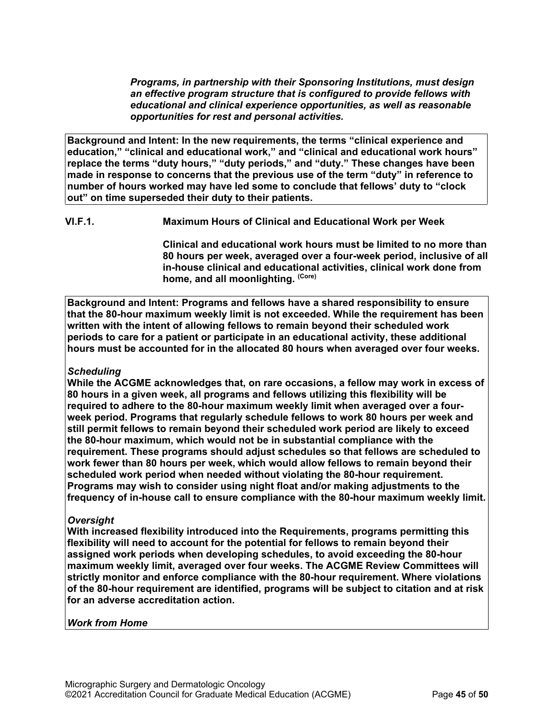*Programs, in partnership with their Sponsoring Institutions, must design an effective program structure that is configured to provide fellows with educational and clinical experience opportunities, as well as reasonable opportunities for rest and personal activities.*

**Background and Intent: In the new requirements, the terms "clinical experience and education," "clinical and educational work," and "clinical and educational work hours" replace the terms "duty hours," "duty periods," and "duty." These changes have been made in response to concerns that the previous use of the term "duty" in reference to number of hours worked may have led some to conclude that fellows' duty to "clock out" on time superseded their duty to their patients.**

**VI.F.1. Maximum Hours of Clinical and Educational Work per Week**

**Clinical and educational work hours must be limited to no more than 80 hours per week, averaged over a four-week period, inclusive of all in-house clinical and educational activities, clinical work done from home, and all moonlighting. (Core)**

**Background and Intent: Programs and fellows have a shared responsibility to ensure that the 80-hour maximum weekly limit is not exceeded. While the requirement has been written with the intent of allowing fellows to remain beyond their scheduled work periods to care for a patient or participate in an educational activity, these additional hours must be accounted for in the allocated 80 hours when averaged over four weeks.**

# *Scheduling*

**While the ACGME acknowledges that, on rare occasions, a fellow may work in excess of 80 hours in a given week, all programs and fellows utilizing this flexibility will be required to adhere to the 80-hour maximum weekly limit when averaged over a fourweek period. Programs that regularly schedule fellows to work 80 hours per week and still permit fellows to remain beyond their scheduled work period are likely to exceed the 80-hour maximum, which would not be in substantial compliance with the requirement. These programs should adjust schedules so that fellows are scheduled to work fewer than 80 hours per week, which would allow fellows to remain beyond their scheduled work period when needed without violating the 80-hour requirement. Programs may wish to consider using night float and/or making adjustments to the frequency of in-house call to ensure compliance with the 80-hour maximum weekly limit.**

# *Oversight*

**With increased flexibility introduced into the Requirements, programs permitting this flexibility will need to account for the potential for fellows to remain beyond their assigned work periods when developing schedules, to avoid exceeding the 80-hour maximum weekly limit, averaged over four weeks. The ACGME Review Committees will strictly monitor and enforce compliance with the 80-hour requirement. Where violations of the 80-hour requirement are identified, programs will be subject to citation and at risk for an adverse accreditation action.**

#### *Work from Home*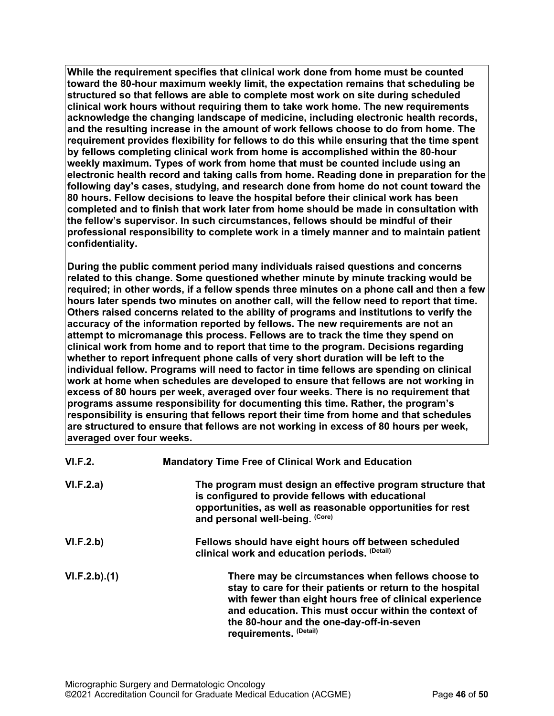**While the requirement specifies that clinical work done from home must be counted toward the 80-hour maximum weekly limit, the expectation remains that scheduling be structured so that fellows are able to complete most work on site during scheduled clinical work hours without requiring them to take work home. The new requirements acknowledge the changing landscape of medicine, including electronic health records, and the resulting increase in the amount of work fellows choose to do from home. The requirement provides flexibility for fellows to do this while ensuring that the time spent by fellows completing clinical work from home is accomplished within the 80-hour weekly maximum. Types of work from home that must be counted include using an electronic health record and taking calls from home. Reading done in preparation for the following day's cases, studying, and research done from home do not count toward the 80 hours. Fellow decisions to leave the hospital before their clinical work has been completed and to finish that work later from home should be made in consultation with the fellow's supervisor. In such circumstances, fellows should be mindful of their professional responsibility to complete work in a timely manner and to maintain patient confidentiality.**

**During the public comment period many individuals raised questions and concerns related to this change. Some questioned whether minute by minute tracking would be required; in other words, if a fellow spends three minutes on a phone call and then a few hours later spends two minutes on another call, will the fellow need to report that time. Others raised concerns related to the ability of programs and institutions to verify the accuracy of the information reported by fellows. The new requirements are not an attempt to micromanage this process. Fellows are to track the time they spend on clinical work from home and to report that time to the program. Decisions regarding whether to report infrequent phone calls of very short duration will be left to the individual fellow. Programs will need to factor in time fellows are spending on clinical work at home when schedules are developed to ensure that fellows are not working in excess of 80 hours per week, averaged over four weeks. There is no requirement that programs assume responsibility for documenting this time. Rather, the program's responsibility is ensuring that fellows report their time from home and that schedules are structured to ensure that fellows are not working in excess of 80 hours per week, averaged over four weeks.**

| VI.F.2.      | <b>Mandatory Time Free of Clinical Work and Education</b>                                                                                                                                                                                                                                               |
|--------------|---------------------------------------------------------------------------------------------------------------------------------------------------------------------------------------------------------------------------------------------------------------------------------------------------------|
| VI.F.2.a)    | The program must design an effective program structure that<br>is configured to provide fellows with educational<br>opportunities, as well as reasonable opportunities for rest<br>and personal well-being. (Core)                                                                                      |
| VI.F.2.b)    | Fellows should have eight hours off between scheduled<br>clinical work and education periods. (Detail)                                                                                                                                                                                                  |
| VI.F.2.b)(1) | There may be circumstances when fellows choose to<br>stay to care for their patients or return to the hospital<br>with fewer than eight hours free of clinical experience<br>and education. This must occur within the context of<br>the 80-hour and the one-day-off-in-seven<br>requirements. (Detail) |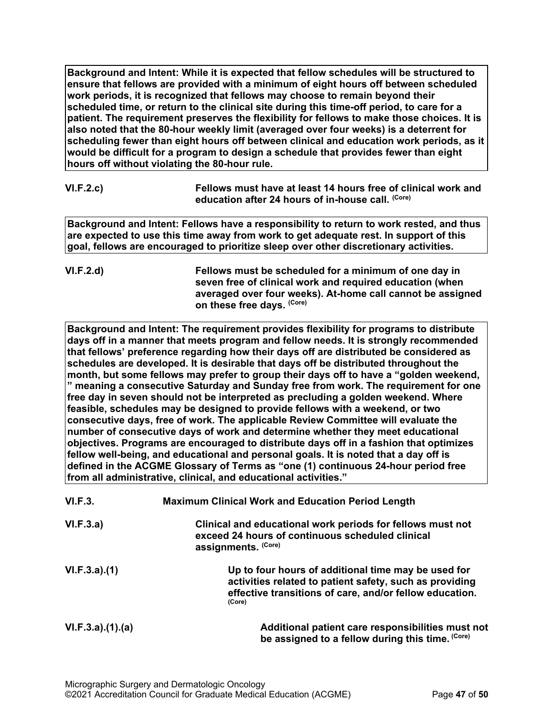**Background and Intent: While it is expected that fellow schedules will be structured to ensure that fellows are provided with a minimum of eight hours off between scheduled work periods, it is recognized that fellows may choose to remain beyond their scheduled time, or return to the clinical site during this time-off period, to care for a patient. The requirement preserves the flexibility for fellows to make those choices. It is also noted that the 80-hour weekly limit (averaged over four weeks) is a deterrent for scheduling fewer than eight hours off between clinical and education work periods, as it would be difficult for a program to design a schedule that provides fewer than eight hours off without violating the 80-hour rule.**

| VI.F.2.c) | Fellows must have at least 14 hours free of clinical work and |
|-----------|---------------------------------------------------------------|
|           | education after 24 hours of in-house call. <sup>(Core)</sup>  |

**Background and Intent: Fellows have a responsibility to return to work rested, and thus are expected to use this time away from work to get adequate rest. In support of this goal, fellows are encouraged to prioritize sleep over other discretionary activities.**

**VI.F.2.d) Fellows must be scheduled for a minimum of one day in seven free of clinical work and required education (when averaged over four weeks). At-home call cannot be assigned on these free days. (Core)**

**Background and Intent: The requirement provides flexibility for programs to distribute days off in a manner that meets program and fellow needs. It is strongly recommended that fellows' preference regarding how their days off are distributed be considered as schedules are developed. It is desirable that days off be distributed throughout the month, but some fellows may prefer to group their days off to have a "golden weekend, " meaning a consecutive Saturday and Sunday free from work. The requirement for one free day in seven should not be interpreted as precluding a golden weekend. Where feasible, schedules may be designed to provide fellows with a weekend, or two consecutive days, free of work. The applicable Review Committee will evaluate the number of consecutive days of work and determine whether they meet educational objectives. Programs are encouraged to distribute days off in a fashion that optimizes fellow well-being, and educational and personal goals. It is noted that a day off is defined in the ACGME Glossary of Terms as "one (1) continuous 24-hour period free from all administrative, clinical, and educational activities."**

| VI.F.3.         | <b>Maximum Clinical Work and Education Period Length</b>                                                                                                                            |
|-----------------|-------------------------------------------------------------------------------------------------------------------------------------------------------------------------------------|
| VI.F.3.a)       | Clinical and educational work periods for fellows must not<br>exceed 24 hours of continuous scheduled clinical<br>assignments. (Core)                                               |
| VI.F.3.a)(1)    | Up to four hours of additional time may be used for<br>activities related to patient safety, such as providing<br>effective transitions of care, and/or fellow education.<br>(Core) |
| VI.F.3.a)(1)(a) | Additional patient care responsibilities must not<br>be assigned to a fellow during this time. (Core)                                                                               |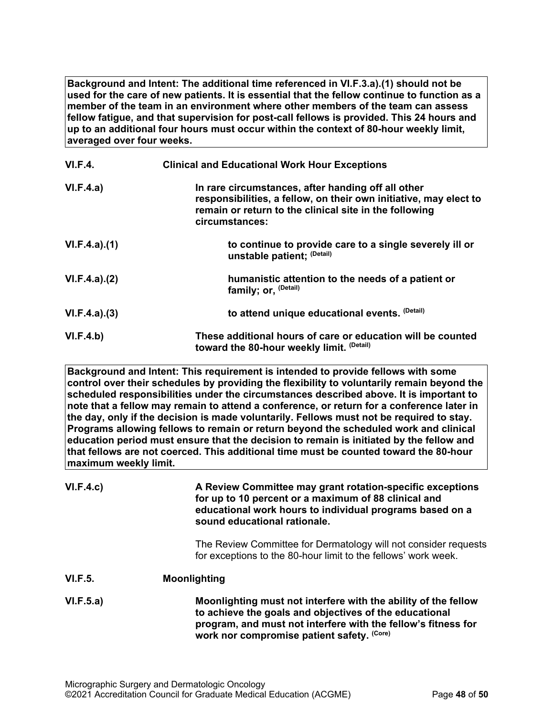**Background and Intent: The additional time referenced in VI.F.3.a).(1) should not be used for the care of new patients. It is essential that the fellow continue to function as a member of the team in an environment where other members of the team can assess fellow fatigue, and that supervision for post-call fellows is provided. This 24 hours and up to an additional four hours must occur within the context of 80-hour weekly limit, averaged over four weeks.**

| VI.F.4.      | <b>Clinical and Educational Work Hour Exceptions</b>                                                                                                                                                |
|--------------|-----------------------------------------------------------------------------------------------------------------------------------------------------------------------------------------------------|
| VI.F.4.a)    | In rare circumstances, after handing off all other<br>responsibilities, a fellow, on their own initiative, may elect to<br>remain or return to the clinical site in the following<br>circumstances: |
| VI.F.4.a)(1) | to continue to provide care to a single severely ill or<br>unstable patient; (Detail)                                                                                                               |
| VI.F.4.a)(2) | humanistic attention to the needs of a patient or<br>family; or, <sup>(Detail)</sup>                                                                                                                |
| VI.F.4.a)(3) | to attend unique educational events. (Detail)                                                                                                                                                       |
| VI.F.4.b)    | These additional hours of care or education will be counted<br>toward the 80-hour weekly limit. (Detail)                                                                                            |

**Background and Intent: This requirement is intended to provide fellows with some control over their schedules by providing the flexibility to voluntarily remain beyond the scheduled responsibilities under the circumstances described above. It is important to note that a fellow may remain to attend a conference, or return for a conference later in the day, only if the decision is made voluntarily. Fellows must not be required to stay. Programs allowing fellows to remain or return beyond the scheduled work and clinical education period must ensure that the decision to remain is initiated by the fellow and that fellows are not coerced. This additional time must be counted toward the 80-hour maximum weekly limit.**

| VI.F.4.c) | A Review Committee may grant rotation-specific exceptions<br>for up to 10 percent or a maximum of 88 clinical and<br>educational work hours to individual programs based on a<br>sound educational rationale.                           |
|-----------|-----------------------------------------------------------------------------------------------------------------------------------------------------------------------------------------------------------------------------------------|
|           | The Review Committee for Dermatology will not consider requests<br>for exceptions to the 80-hour limit to the fellows' work week.                                                                                                       |
| VI.F.5.   | <b>Moonlighting</b>                                                                                                                                                                                                                     |
| VI.F.5.a) | Moonlighting must not interfere with the ability of the fellow<br>to achieve the goals and objectives of the educational<br>program, and must not interfere with the fellow's fitness for<br>work nor compromise patient safety. (Core) |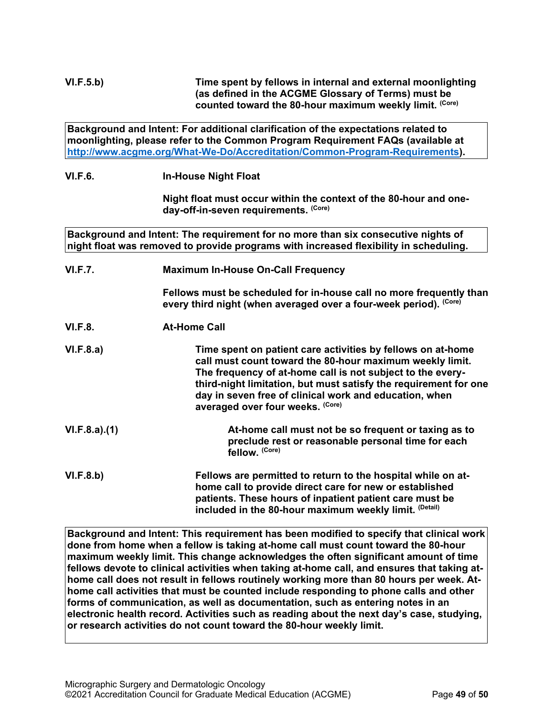**Background and Intent: For additional clarification of the expectations related to moonlighting, please refer to the Common Program Requirement FAQs (available at [http://www.acgme.org/What-We-Do/Accreditation/Common-Program-Requirements\)](http://www.acgme.org/What-We-Do/Accreditation/Common-Program-Requirements).**

**VI.F.6. In-House Night Float**

**Night float must occur within the context of the 80-hour and oneday-off-in-seven requirements. (Core)**

**Background and Intent: The requirement for no more than six consecutive nights of night float was removed to provide programs with increased flexibility in scheduling.**

**VI.F.7. Maximum In-House On-Call Frequency**

**Fellows must be scheduled for in-house call no more frequently than every third night (when averaged over a four-week period). (Core)**

**VI.F.8. At-Home Call**

**VI.F.8.a) Time spent on patient care activities by fellows on at-home call must count toward the 80-hour maximum weekly limit. The frequency of at-home call is not subject to the everythird-night limitation, but must satisfy the requirement for one day in seven free of clinical work and education, when averaged over four weeks. (Core)**

**VI.F.8.a).(1) At-home call must not be so frequent or taxing as to preclude rest or reasonable personal time for each fellow. (Core)**

**VI.F.8.b) Fellows are permitted to return to the hospital while on athome call to provide direct care for new or established patients. These hours of inpatient patient care must be included in the 80-hour maximum weekly limit. (Detail)**

**Background and Intent: This requirement has been modified to specify that clinical work done from home when a fellow is taking at-home call must count toward the 80-hour maximum weekly limit. This change acknowledges the often significant amount of time fellows devote to clinical activities when taking at-home call, and ensures that taking athome call does not result in fellows routinely working more than 80 hours per week. Athome call activities that must be counted include responding to phone calls and other forms of communication, as well as documentation, such as entering notes in an electronic health record. Activities such as reading about the next day's case, studying, or research activities do not count toward the 80-hour weekly limit.**